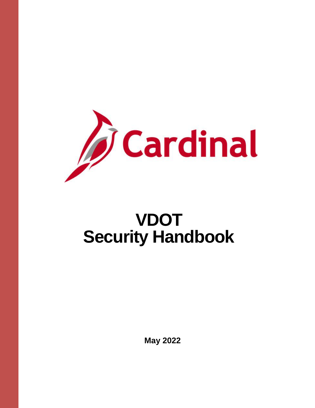

# **VDOT Security Handbook**

**May 2022**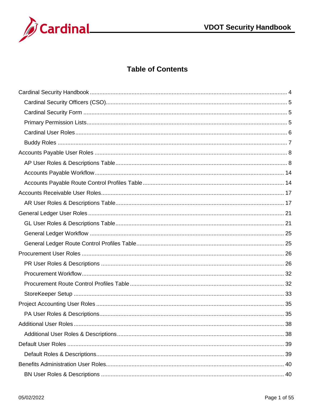

#### **Table of Contents**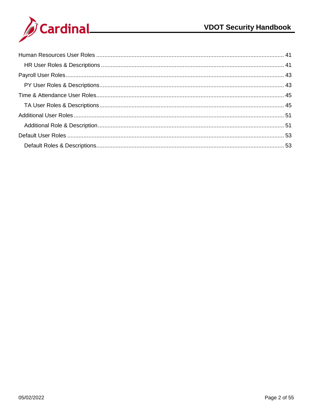

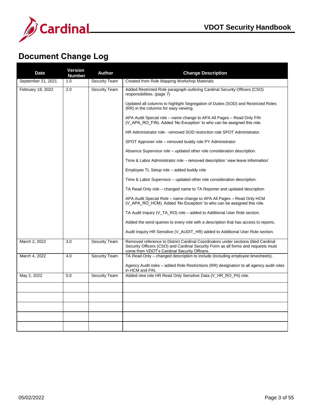

## **Document Change Log**

| <b>Date</b>        | <b>Version</b><br><b>Number</b> | <b>Author</b>        | <b>Change Description</b>                                                                                                                                                                                               |
|--------------------|---------------------------------|----------------------|-------------------------------------------------------------------------------------------------------------------------------------------------------------------------------------------------------------------------|
| September 21, 2021 | 1.0                             | <b>Security Team</b> | Created from Role Mapping Workshop Materials                                                                                                                                                                            |
| February 18, 2022  | 2.0                             | <b>Security Team</b> | Added Restricted Role paragraph outlining Cardinal Security Officers (CSO)<br>responsibilities. (page 7)                                                                                                                |
|                    |                                 |                      | Updated all columns to highlight Segregation of Duties (SOD) and Restricted Roles<br>(RR) in the columns for easy viewing.                                                                                              |
|                    |                                 |                      | APA Audit Special role – name change to APA All Pages – Read Only FIN<br>(V_APA_RO_FIN). Added 'No Exception' to who can be assigned this role.                                                                         |
|                    |                                 |                      | HR Administrator role - removed SOD restriction role SPOT Administrator.                                                                                                                                                |
|                    |                                 |                      | SPOT Approver role - removed buddy role PY Administrator                                                                                                                                                                |
|                    |                                 |                      | Absence Supervisor role – updated other role consideration description.                                                                                                                                                 |
|                    |                                 |                      | Time & Labor Administrator role – removed description 'view leave information'                                                                                                                                          |
|                    |                                 |                      | Employee TL Setup role – added buddy role                                                                                                                                                                               |
|                    |                                 |                      | Time & Labor Supervisor – updated other role consideration description.                                                                                                                                                 |
|                    |                                 |                      | TA Read Only role – changed name to TA Reporter and updated description                                                                                                                                                 |
|                    |                                 |                      | APA Audit Special Role – name change to APA All Pages – Read Only HCM<br>(V_APA_RO_HCM). Added 'No Exception' to who can be assigned this role.                                                                         |
|                    |                                 |                      | TA Audit Inquiry (V TA RO) role – added to Additional User Role section.                                                                                                                                                |
|                    |                                 |                      | Added the word queries to every role with a description that has access to reports.                                                                                                                                     |
|                    |                                 |                      | Audit Inquiry HR Sensitive (V_AUDIT_HR) added to Additional User Role section.                                                                                                                                          |
| March 2, 2022      | 3.0                             | <b>Security Team</b> | Removed reference to District Cardinal Coordinators under sections titled Cardinal<br>Security Officers (CSO) and Cardinal Security Form as all forms and requests must<br>come from VDOT's Cardinal Security Officers. |
| March 4, 2022      | 4.0                             | Security Team        | TA Read Only – changed description to include (including employee timesheets).                                                                                                                                          |
|                    |                                 |                      | Agency Audit roles – added Role Restrictions (RR) designation to all agency audit roles<br>in HCM and FIN.                                                                                                              |
| May 2, 2022        | 5.0                             | <b>Security Team</b> | Added new role HR Read Only Sensitive Data (V_HR_RO_PII) role.                                                                                                                                                          |
|                    |                                 |                      |                                                                                                                                                                                                                         |
|                    |                                 |                      |                                                                                                                                                                                                                         |
|                    |                                 |                      |                                                                                                                                                                                                                         |
|                    |                                 |                      |                                                                                                                                                                                                                         |
|                    |                                 |                      |                                                                                                                                                                                                                         |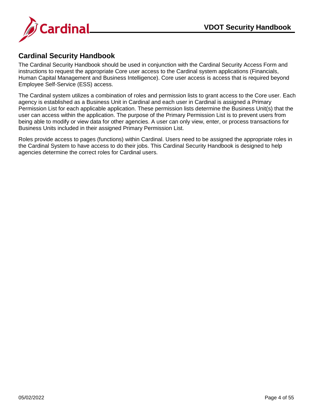

#### <span id="page-4-0"></span>**Cardinal Security Handbook**

The Cardinal Security Handbook should be used in conjunction with the Cardinal Security Access Form and instructions to request the appropriate Core user access to the Cardinal system applications (Financials, Human Capital Management and Business Intelligence). Core user access is access that is required beyond Employee Self-Service (ESS) access.

The Cardinal system utilizes a combination of roles and permission lists to grant access to the Core user. Each agency is established as a Business Unit in Cardinal and each user in Cardinal is assigned a Primary Permission List for each applicable application. These permission lists determine the Business Unit(s) that the user can access within the application. The purpose of the Primary Permission List is to prevent users from being able to modify or view data for other agencies. A user can only view, enter, or process transactions for Business Units included in their assigned Primary Permission List.

Roles provide access to pages (functions) within Cardinal. Users need to be assigned the appropriate roles in the Cardinal System to have access to do their jobs. This Cardinal Security Handbook is designed to help agencies determine the correct roles for Cardinal users.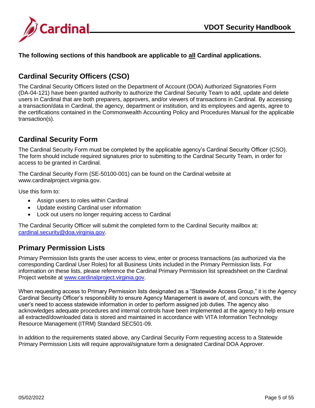

**The following sections of this handbook are applicable to all Cardinal applications.**

## <span id="page-5-0"></span>**Cardinal Security Officers (CSO)**

The Cardinal Security Officers listed on the Department of Account (DOA) Authorized Signatories Form (DA-04-121) have been granted authority to authorize the Cardinal Security Team to add, update and delete users in Cardinal that are both preparers, approvers, and/or viewers of transactions in Cardinal. By accessing a transaction/data in Cardinal, the agency, department or institution, and its employees and agents, agree to the certifications contained in the Commonwealth Accounting Policy and Procedures Manual for the applicable transaction(s).

#### <span id="page-5-1"></span>**Cardinal Security Form**

The Cardinal Security Form must be completed by the applicable agency's Cardinal Security Officer (CSO). The form should include required signatures prior to submitting to the Cardinal Security Team, in order for access to be granted in Cardinal.

The Cardinal Security Form (SE-50100-001) can be found on the Cardinal website at www.cardinalproject.virginia.gov.

Use this form to:

- Assign users to roles within Cardinal
- Update existing Cardinal user information
- Lock out users no longer requiring access to Cardinal

The Cardinal Security Officer will submit the completed form to the Cardinal Security mailbox at: [cardinal.security@doa.virginia.gov.](mailto:cardinal.security@doa.virginia.gov)

#### <span id="page-5-2"></span>**Primary Permission Lists**

Primary Permission lists grants the user access to view, enter or process transactions (as authorized via the corresponding Cardinal User Roles) for all Business Units included in the Primary Permission lists. For information on these lists, please reference the Cardinal Primary Permission list spreadsheet on the Cardinal Project website at [www.cardinalproject.virginia.gov.](http://www.cardinalproject.virginia.gov/)

When requesting access to Primary Permission lists designated as a "Statewide Access Group," it is the Agency Cardinal Security Officer's responsibility to ensure Agency Management is aware of, and concurs with, the user's need to access statewide information in order to perform assigned job duties. The agency also acknowledges adequate procedures and internal controls have been implemented at the agency to help ensure all extracted/downloaded data is stored and maintained in accordance with VITA Information Technology Resource Management (ITRM) Standard SEC501-09.

In addition to the requirements stated above, any Cardinal Security Form requesting access to a Statewide Primary Permission Lists will require approval/signature form a designated Cardinal DOA Approver.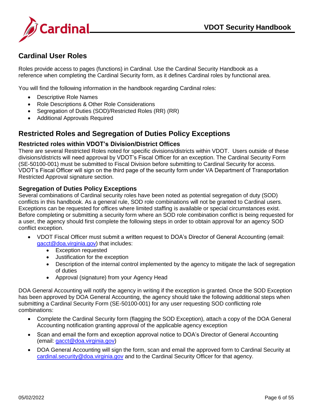

## <span id="page-6-0"></span>**Cardinal User Roles**

Roles provide access to pages (functions) in Cardinal. Use the Cardinal Security Handbook as a reference when completing the Cardinal Security form, as it defines Cardinal roles by functional area.

You will find the following information in the handbook regarding Cardinal roles:

- Descriptive Role Names
- Role Descriptions & Other Role Considerations
- Segregation of Duties (SOD)/Restricted Roles (RR) (RR)
- Additional Approvals Required

#### **Restricted Roles and Segregation of Duties Policy Exceptions**

#### **Restricted roles within VDOT's Division/District Offices**

There are several Restricted Roles noted for specific divisions/districts within VDOT. Users outside of these divisions/districts will need approval by VDOT's Fiscal Officer for an exception. The Cardinal Security Form (SE-50100-001) must be submitted to Fiscal Division before submitting to Cardinal Security for access. VDOT's Fiscal Officer will sign on the third page of the security form under VA Department of Transportation Restricted Approval signature section.

#### **Segregation of Duties Policy Exceptions**

Several combinations of Cardinal security roles have been noted as potential segregation of duty (SOD) conflicts in this handbook. As a general rule, SOD role combinations will not be granted to Cardinal users. Exceptions can be requested for offices where limited staffing is available or special circumstances exist. Before completing or submitting a security form where an SOD role combination conflict is being requested for a user, the agency should first complete the following steps in order to obtain approval for an agency SOD conflict exception.

- VDOT Fiscal Officer must submit a written request to DOA's Director of General Accounting (email: [gacct@doa.virginia.gov\)](mailto:gacct@doa.virginia.gov) that includes:
	- Exception requested
	- Justification for the exception
	- Description of the internal control implemented by the agency to mitigate the lack of segregation of duties
	- Approval (signature) from your Agency Head

DOA General Accounting will notify the agency in writing if the exception is granted. Once the SOD Exception has been approved by DOA General Accounting, the agency should take the following additional steps when submitting a Cardinal Security Form (SE-50100-001) for any user requesting SOD conflicting role combinations:

- Complete the Cardinal Security form (flagging the SOD Exception), attach a copy of the DOA General Accounting notification granting approval of the applicable agency exception
- Scan and email the form and exception approval notice to DOA's Director of General Accounting (email: [gacct@doa.virginia.gov\)](mailto:gacct@doa.virginia.gov)
- DOA General Accounting will sign the form, scan and email the approved form to Cardinal Security at [cardinal.security@doa.virginia.gov](mailto:cardinal.security@doa.virginia.gov) and to the Cardinal Security Officer for that agency.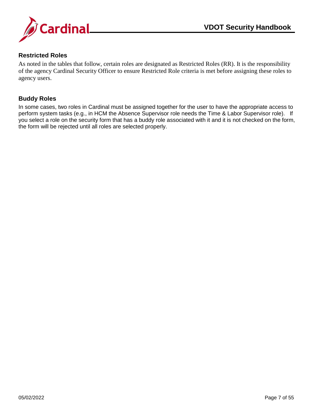

#### <span id="page-7-0"></span>**Restricted Roles**

As noted in the tables that follow, certain roles are designated as Restricted Roles (RR). It is the responsibility of the agency Cardinal Security Officer to ensure Restricted Role criteria is met before assigning these roles to agency users.

#### **Buddy Roles**

In some cases, two roles in Cardinal must be assigned together for the user to have the appropriate access to perform system tasks (e.g., in HCM the Absence Supervisor role needs the Time & Labor Supervisor role). If you select a role on the security form that has a buddy role associated with it and it is not checked on the form, the form will be rejected until all roles are selected properly.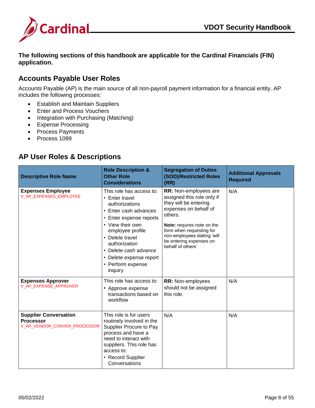

**The following sections of this handbook are applicable for the Cardinal Financials (FIN) application.**

#### <span id="page-8-0"></span>**Accounts Payable User Roles**

Accounts Payable (AP) is the main source of all non-payroll payment information for a financial entity. AP includes the following processes:

- Establish and Maintain Suppliers
- Enter and Process Vouchers
- Integration with Purchasing (Matching)
- Expense Processing
- Process Payments
- Process 1099

#### <span id="page-8-1"></span>**AP User Roles & Descriptions**

| <b>Descriptive Role Name</b>                                                     | <b>Role Description &amp;</b><br><b>Other Role</b><br><b>Considerations</b>                                                                                                                                                                                                      | <b>Segregation of Duties</b><br>(SOD)/Restricted Roles<br>(RR)                                                                                                                                                                                            | <b>Additional Approvals</b><br><b>Required</b> |
|----------------------------------------------------------------------------------|----------------------------------------------------------------------------------------------------------------------------------------------------------------------------------------------------------------------------------------------------------------------------------|-----------------------------------------------------------------------------------------------------------------------------------------------------------------------------------------------------------------------------------------------------------|------------------------------------------------|
| <b>Expenses Employee</b><br>V_AP_EXPENSES_EMPLOYEE                               | This role has access to:<br>• Enter travel<br>authorizations<br>• Enter cash advances<br>• Enter expense reports<br>• View their own<br>employee profile<br>• Delete travel<br>authorization<br>• Delete cash advance<br>• Delete expense report<br>• Perform expense<br>inquiry | RR: Non-employees are<br>assigned this role only if<br>they will be entering<br>expenses on behalf of<br>others.<br>Note: requires note on the<br>form when requesting for<br>non-employees stating 'will<br>be entering expenses on<br>behalf of others' | N/A                                            |
| <b>Expenses Approver</b><br>V_AP_EXPENSE_APPROVER                                | This role has access to:<br>• Approve expense<br>transactions based on<br>workflow                                                                                                                                                                                               | RR: Non-employees<br>should not be assigned<br>this role.                                                                                                                                                                                                 | N/A                                            |
| <b>Supplier Conversation</b><br><b>Processor</b><br>V_AP_VENDOR_CONVER_PROCESSOR | This role is for users<br>routinely involved in the<br>Supplier Procure to Pay<br>process and have a<br>need to interact with<br>suppliers. This role has<br>access to:<br>• Record Supplier<br>Conversations                                                                    | N/A                                                                                                                                                                                                                                                       | N/A                                            |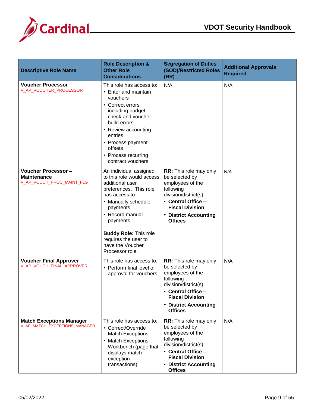



| <b>Descriptive Role Name</b>                                                  | <b>Role Description &amp;</b><br><b>Other Role</b><br><b>Considerations</b>                                                                                                                                                                                                         | <b>Segregation of Duties</b><br>(SOD)/Restricted Roles<br>(RR)                                                                                                                                       | <b>Additional Approvals</b><br><b>Required</b> |
|-------------------------------------------------------------------------------|-------------------------------------------------------------------------------------------------------------------------------------------------------------------------------------------------------------------------------------------------------------------------------------|------------------------------------------------------------------------------------------------------------------------------------------------------------------------------------------------------|------------------------------------------------|
| <b>Voucher Processor</b><br>V_AP_VOUCHER_PROCESSOR                            | This role has access to:<br>• Enter and maintain<br>vouchers<br>• Correct errors<br>including budget<br>check and voucher<br>build errors<br>• Review accounting<br>entries<br>• Process payment<br>offsets<br>• Process recurring<br>contract vouchers                             | N/A                                                                                                                                                                                                  | N/A                                            |
| <b>Voucher Processor -</b><br><b>Maintenance</b><br>V_AP_VOUCH_PROC_MAINT_FLG | An individual assigned<br>to this role would access<br>additional user<br>preferences. This role<br>has access to:<br>• Manually schedule<br>payments<br>• Record manual<br>payments<br><b>Buddy Role: This role</b><br>requires the user to<br>have the Voucher<br>Processor role. | RR: This role may only<br>be selected by<br>employees of the<br>following<br>division/district(s):<br>• Central Office -<br><b>Fiscal Division</b><br>• District Accounting<br><b>Offices</b>        | N/A                                            |
| <b>Voucher Final Approver</b><br>V_AP_VOUCH_FINAL_APPROVER                    | This role has access to:<br>• Perform final level of<br>approval for vouchers                                                                                                                                                                                                       | <b>RR:</b> This role may only<br>be selected by<br>employees of the<br>following<br>division/district(s):<br>· Central Office -<br><b>Fiscal Division</b><br>• District Accounting<br><b>Offices</b> | N/A                                            |
| <b>Match Exceptions Manager</b><br>V_AP_MATCH_EXCEPTIONS_MANAGER              | This role has access to:<br>• Correct/Override<br><b>Match Exceptions</b><br>• Match Exceptions<br>Workbench (page that<br>displays match<br>exception<br>transactions)                                                                                                             | RR: This role may only<br>be selected by<br>employees of the<br>following<br>division/district(s):<br>• Central Office -<br><b>Fiscal Division</b><br>• District Accounting<br><b>Offices</b>        | N/A                                            |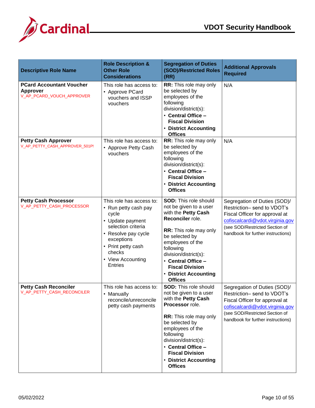

| <b>Descriptive Role Name</b>                                                    | <b>Role Description &amp;</b><br><b>Other Role</b><br><b>Considerations</b>                                                                                                                                     | <b>Segregation of Duties</b><br>(SOD)/Restricted Roles<br>(RR)                                                                                                                                                                                                                                            | <b>Additional Approvals</b><br><b>Required</b>                                                                                                                                                          |
|---------------------------------------------------------------------------------|-----------------------------------------------------------------------------------------------------------------------------------------------------------------------------------------------------------------|-----------------------------------------------------------------------------------------------------------------------------------------------------------------------------------------------------------------------------------------------------------------------------------------------------------|---------------------------------------------------------------------------------------------------------------------------------------------------------------------------------------------------------|
| <b>PCard Accountant Voucher</b><br><b>Approver</b><br>V_AP_PCARD_VOUCH_APPROVER | This role has access to:<br>• Approve PCard<br>vouchers and ISSP<br>vouchers                                                                                                                                    | RR: This role may only<br>be selected by<br>employees of the<br>following<br>division/district(s):<br>• Central Office -<br><b>Fiscal Division</b><br>• District Accounting<br><b>Offices</b>                                                                                                             | N/A                                                                                                                                                                                                     |
| <b>Petty Cash Approver</b><br>V_AP_PETTY_CASH_APPROVER_501P!                    | This role has access to:<br>• Approve Petty Cash<br>vouchers                                                                                                                                                    | RR: This role may only<br>be selected by<br>employees of the<br>following<br>division/district(s):<br>• Central Office -<br><b>Fiscal Division</b><br>• District Accounting<br><b>Offices</b>                                                                                                             | N/A                                                                                                                                                                                                     |
| <b>Petty Cash Processor</b><br>V_AP_PETTY_CASH_PROCESSOR                        | This role has access to:<br>• Run petty cash pay<br>cycle<br>• Update payment<br>selection criteria<br>• Resolve pay cycle<br>exceptions<br>• Print petty cash<br>checks<br>• View Accounting<br><b>Entries</b> | <b>SOD: This role should</b><br>not be given to a user<br>with the Petty Cash<br>Reconciler role.<br><b>RR:</b> This role may only<br>be selected by<br>employees of the<br>following<br>division/district(s):<br>• Central Office -<br><b>Fiscal Division</b><br>• District Accounting<br><b>Offices</b> | Segregation of Duties (SOD)/<br>Restriction-send to VDOT's<br>Fiscal Officer for approval at<br>cofiscalcardi@vdot.virginia.gov<br>(see SOD/Restricted Section of<br>handbook for further instructions) |
| <b>Petty Cash Reconciler</b><br>V_AP_PETTY_CASH_RECONCILER                      | This role has access to:<br>• Manually<br>reconcile/unreconcile<br>petty cash payments                                                                                                                          | <b>SOD: This role should</b><br>not be given to a user<br>with the Petty Cash<br>Processor role.<br>RR: This role may only<br>be selected by<br>employees of the<br>following<br>division/district(s):<br>• Central Office -<br><b>Fiscal Division</b><br>• District Accounting<br><b>Offices</b>         | Segregation of Duties (SOD)/<br>Restriction-send to VDOT's<br>Fiscal Officer for approval at<br>cofiscalcardi@vdot.virginia.gov<br>(see SOD/Restricted Section of<br>handbook for further instructions) |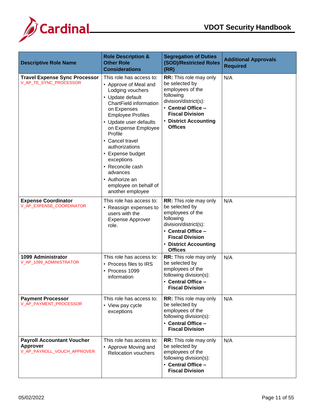

| <b>Descriptive Role Name</b>                                                 | <b>Role Description &amp;</b><br><b>Other Role</b><br><b>Considerations</b>                                                                                                                                                                                                                                                                                                                      | <b>Segregation of Duties</b><br><b>(SOD)/Restricted Roles</b><br>(RR)                                                                                                                              | <b>Additional Approvals</b><br><b>Required</b> |
|------------------------------------------------------------------------------|--------------------------------------------------------------------------------------------------------------------------------------------------------------------------------------------------------------------------------------------------------------------------------------------------------------------------------------------------------------------------------------------------|----------------------------------------------------------------------------------------------------------------------------------------------------------------------------------------------------|------------------------------------------------|
| <b>Travel Expense Sync Processor</b><br>V_AP_TE_SYNC_PROCESSOR               | This role has access to:<br>• Approve of Meal and<br>Lodging vouchers<br>• Update default<br>ChartField information<br>on Expenses<br><b>Employee Profiles</b><br>• Update user defaults<br>on Expense Employee<br>Profile<br>• Cancel travel<br>authorizations<br>• Expense budget<br>exceptions<br>• Reconcile cash<br>advances<br>• Authorize an<br>employee on behalf of<br>another employee | RR: This role may only<br>be selected by<br>employees of the<br>following<br>division/district(s):<br>• Central Office -<br><b>Fiscal Division</b><br><b>District Accounting</b><br><b>Offices</b> | N/A                                            |
| <b>Expense Coordinator</b><br>V_AP_EXPENSE_COORDINATOR                       | This role has access to:<br>• Reassign expenses to<br>users with the<br><b>Expense Approver</b><br>role.                                                                                                                                                                                                                                                                                         | RR: This role may only<br>be selected by<br>employees of the<br>following<br>division/district(s):<br>• Central Office -<br><b>Fiscal Division</b><br>• District Accounting<br><b>Offices</b>      | N/A                                            |
| 1099 Administrator<br>V_AP_1099_ADMINISTRATOR                                | This role has access to:<br>• Process files to IRS<br>• Process 1099<br>information                                                                                                                                                                                                                                                                                                              | RR: This role may only<br>be selected by<br>employees of the<br>following division(s):<br>• Central Office -<br><b>Fiscal Division</b>                                                             | N/A                                            |
| <b>Payment Processor</b><br>V_AP_PAYMENT_PROCESSOR                           | This role has access to:<br>• View pay cycle<br>exceptions                                                                                                                                                                                                                                                                                                                                       | RR: This role may only<br>be selected by<br>employees of the<br>following division(s):<br>• Central Office -<br><b>Fiscal Division</b>                                                             | N/A                                            |
| <b>Payroll Accountant Voucher</b><br>Approver<br>V_AP_PAYROLL_VOUCH_APPROVER | This role has access to:<br>• Approve Moving and<br><b>Relocation vouchers</b>                                                                                                                                                                                                                                                                                                                   | <b>RR:</b> This role may only<br>be selected by<br>employees of the<br>following division(s):<br>• Central Office -<br><b>Fiscal Division</b>                                                      | N/A                                            |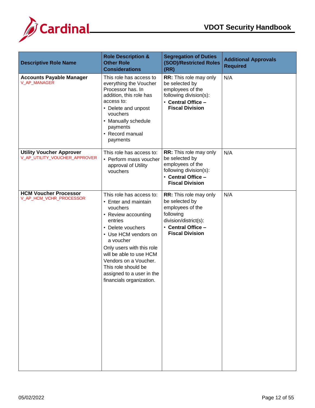

| <b>Descriptive Role Name</b>                                     | <b>Role Description &amp;</b><br><b>Other Role</b><br><b>Considerations</b>                                                                                                                                                                                                                                               | <b>Segregation of Duties</b><br>(SOD)/Restricted Roles<br>(RR)                                                                                     | <b>Additional Approvals</b><br><b>Required</b> |
|------------------------------------------------------------------|---------------------------------------------------------------------------------------------------------------------------------------------------------------------------------------------------------------------------------------------------------------------------------------------------------------------------|----------------------------------------------------------------------------------------------------------------------------------------------------|------------------------------------------------|
| <b>Accounts Payable Manager</b><br>V_AP_MANAGER                  | This role has access to<br>everything the Voucher<br>Processor has. In<br>addition, this role has<br>access to:<br>• Delete and unpost<br>vouchers<br>• Manually schedule<br>payments<br>• Record manual<br>payments                                                                                                      | RR: This role may only<br>be selected by<br>employees of the<br>following division(s):<br>• Central Office -<br><b>Fiscal Division</b>             | N/A                                            |
| <b>Utility Voucher Approver</b><br>V_AP_UTILITY_VOUCHER_APPROVER | This role has access to:<br>• Perform mass voucher<br>approval of Utility<br>vouchers                                                                                                                                                                                                                                     | RR: This role may only<br>be selected by<br>employees of the<br>following division(s):<br>• Central Office -<br><b>Fiscal Division</b>             | N/A                                            |
| <b>HCM Voucher Processor</b><br>V_AP_HCM_VCHR_PROCESSOR          | This role has access to:<br>• Enter and maintain<br>vouchers<br>• Review accounting<br>entries<br>• Delete vouchers<br>• Use HCM vendors on<br>a voucher<br>Only users with this role<br>will be able to use HCM<br>Vendors on a Voucher.<br>This role should be<br>assigned to a user in the<br>financials organization. | RR: This role may only<br>be selected by<br>employees of the<br>following<br>division/district(s):<br>• Central Office -<br><b>Fiscal Division</b> | N/A                                            |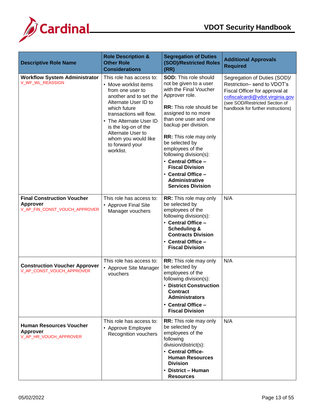

| <b>Descriptive Role Name</b>                                                          | <b>Role Description &amp;</b><br><b>Other Role</b><br><b>Considerations</b>                                                                                                                                                                                                                       | <b>Segregation of Duties</b><br>(SOD)/Restricted Roles<br>(RR)                                                                                                                                                                                                                                                                                                                                                                    | <b>Additional Approvals</b><br><b>Required</b>                                                                                                                                                           |
|---------------------------------------------------------------------------------------|---------------------------------------------------------------------------------------------------------------------------------------------------------------------------------------------------------------------------------------------------------------------------------------------------|-----------------------------------------------------------------------------------------------------------------------------------------------------------------------------------------------------------------------------------------------------------------------------------------------------------------------------------------------------------------------------------------------------------------------------------|----------------------------------------------------------------------------------------------------------------------------------------------------------------------------------------------------------|
| <b>Workflow System Administrator</b><br>V_WF_WL_REASSIGN                              | This role has access to:<br>• Move worklist items<br>from one user to<br>another and to set the<br>Alternate User ID to<br>which future<br>transactions will flow.<br>• The Alternate User ID<br>is the log-on of the<br>Alternate User to<br>whom you would like<br>to forward your<br>worklist. | <b>SOD: This role should</b><br>not be given to a user<br>with the Final Voucher<br>Approver role.<br>RR: This role should be<br>assigned to no more<br>than one user and one<br>backup per division.<br><b>RR:</b> This role may only<br>be selected by<br>employees of the<br>following division(s):<br>• Central Office -<br><b>Fiscal Division</b><br>• Central Office -<br><b>Administrative</b><br><b>Services Division</b> | Segregation of Duties (SOD)/<br>Restriction- send to VDOT's<br>Fiscal Officer for approval at<br>cofiscalcardi@vdot.virginia.gov<br>(see SOD/Restricted Section of<br>handbook for further instructions) |
| <b>Final Construction Voucher</b><br><b>Approver</b><br>V_AP_FIN_CONST_VOUCH_APPROVER | This role has access to:<br>• Approve Final Site<br>Manager vouchers                                                                                                                                                                                                                              | RR: This role may only<br>be selected by<br>employees of the<br>following division(s):<br>• Central Office -<br><b>Scheduling &amp;</b><br><b>Contracts Division</b><br>• Central Office -<br><b>Fiscal Division</b>                                                                                                                                                                                                              | N/A                                                                                                                                                                                                      |
| <b>Construction Voucher Approver</b><br>V_AP_CONST_VOUCH_APPROVER                     | This role has access to:<br>• Approve Site Manager<br>vouchers                                                                                                                                                                                                                                    | RR: This role may only<br>be selected by<br>employees of the<br>following division(s):<br>• District Construction<br><b>Contract</b><br><b>Administrators</b><br>• Central Office -<br><b>Fiscal Division</b>                                                                                                                                                                                                                     | N/A                                                                                                                                                                                                      |
| <b>Human Resources Voucher</b><br><b>Approver</b><br>V_AP_HR_VOUCH_APPROVER           | This role has access to:<br>• Approve Employee<br><b>Recognition vouchers</b>                                                                                                                                                                                                                     | RR: This role may only<br>be selected by<br>employees of the<br>following<br>division/district(s):<br>• Central Office-<br><b>Human Resources</b><br><b>Division</b><br>• District - Human<br><b>Resources</b>                                                                                                                                                                                                                    | N/A                                                                                                                                                                                                      |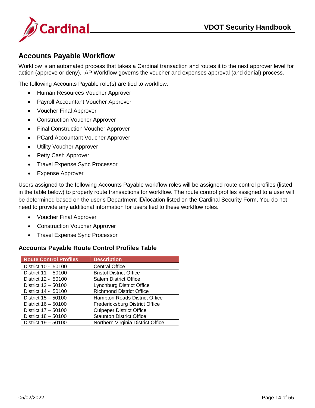

#### <span id="page-14-0"></span>**Accounts Payable Workflow**

Workflow is an automated process that takes a Cardinal transaction and routes it to the next approver level for action (approve or deny). AP Workflow governs the voucher and expenses approval (and denial) process.

The following Accounts Payable role(s) are tied to workflow:

- Human Resources Voucher Approver
- Payroll Accountant Voucher Approver
- Voucher Final Approver
- Construction Voucher Approver
- Final Construction Voucher Approver
- PCard Accountant Voucher Approver
- Utility Voucher Approver
- Petty Cash Approver
- Travel Expense Sync Processor
- Expense Approver

Users assigned to the following Accounts Payable workflow roles will be assigned route control profiles (listed in the table below) to properly route transactions for workflow. The route control profiles assigned to a user will be determined based on the user's Department ID/location listed on the Cardinal Security Form. You do not need to provide any additional information for users tied to these workflow roles.

- Voucher Final Approver
- Construction Voucher Approver
- Travel Expense Sync Processor

#### <span id="page-14-1"></span>**Accounts Payable Route Control Profiles Table**

| <b>Route Control Profiles</b> | <b>Description</b>                |
|-------------------------------|-----------------------------------|
| District 10 - 50100           | <b>Central Office</b>             |
| District 11 - 50100           | <b>Bristol District Office</b>    |
| District 12 - 50100           | <b>Salem District Office</b>      |
| District 13 - 50100           | <b>Lynchburg District Office</b>  |
| District 14 - 50100           | <b>Richmond District Office</b>   |
| District 15 - 50100           | Hampton Roads District Office     |
| District 16 - 50100           | Fredericksburg District Office    |
| District 17 - 50100           | <b>Culpeper District Office</b>   |
| District 18 - 50100           | <b>Staunton District Office</b>   |
| District 19 - 50100           | Northern Virginia District Office |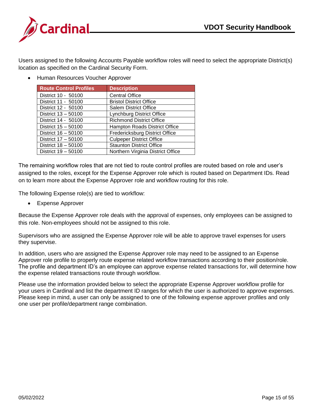

Users assigned to the following Accounts Payable workflow roles will need to select the appropriate District(s) location as specified on the Cardinal Security Form.

• Human Resources Voucher Approver

| <b>Route Control Profiles</b> | <b>Description</b>                |
|-------------------------------|-----------------------------------|
| District 10 - 50100           | <b>Central Office</b>             |
| District 11 - 50100           | <b>Bristol District Office</b>    |
| District 12 - 50100           | <b>Salem District Office</b>      |
| District 13 - 50100           | <b>Lynchburg District Office</b>  |
| District 14 - 50100           | <b>Richmond District Office</b>   |
| District 15 - 50100           | Hampton Roads District Office     |
| District 16 - 50100           | Fredericksburg District Office    |
| District 17 - 50100           | <b>Culpeper District Office</b>   |
| District 18 - 50100           | <b>Staunton District Office</b>   |
| District 19 - 50100           | Northern Virginia District Office |

The remaining workflow roles that are not tied to route control profiles are routed based on role and user's assigned to the roles, except for the Expense Approver role which is routed based on Department IDs. Read on to learn more about the Expense Approver role and workflow routing for this role.

The following Expense role(s) are tied to workflow:

Expense Approver

Because the Expense Approver role deals with the approval of expenses, only employees can be assigned to this role. Non-employees should not be assigned to this role.

Supervisors who are assigned the Expense Approver role will be able to approve travel expenses for users they supervise.

In addition, users who are assigned the Expense Approver role may need to be assigned to an Expense Approver role profile to properly route expense related workflow transactions according to their position/role. The profile and department ID's an employee can approve expense related transactions for, will determine how the expense related transactions route through workflow.

Please use the information provided below to select the appropriate Expense Approver workflow profile for your users in Cardinal and list the department ID ranges for which the user is authorized to approve expenses. Please keep in mind, a user can only be assigned to one of the following expense approver profiles and only one user per profile/department range combination.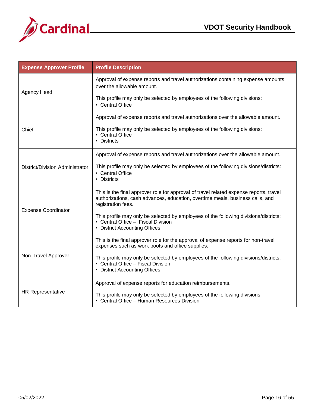



| <b>Expense Approver Profile</b> | <b>Profile Description</b>                                                                                                                                                                    |
|---------------------------------|-----------------------------------------------------------------------------------------------------------------------------------------------------------------------------------------------|
| <b>Agency Head</b>              | Approval of expense reports and travel authorizations containing expense amounts<br>over the allowable amount.                                                                                |
|                                 | This profile may only be selected by employees of the following divisions:<br>• Central Office                                                                                                |
|                                 | Approval of expense reports and travel authorizations over the allowable amount.                                                                                                              |
| Chief                           | This profile may only be selected by employees of the following divisions:<br>• Central Office<br>• Districts                                                                                 |
|                                 | Approval of expense reports and travel authorizations over the allowable amount.                                                                                                              |
| District/Division Administrator | This profile may only be selected by employees of the following divisions/districts:<br>• Central Office<br>• Districts                                                                       |
| <b>Expense Coordinator</b>      | This is the final approver role for approval of travel related expense reports, travel<br>authorizations, cash advances, education, overtime meals, business calls, and<br>registration fees. |
|                                 | This profile may only be selected by employees of the following divisions/districts:<br>• Central Office - Fiscal Division<br>• District Accounting Offices                                   |
|                                 | This is the final approver role for the approval of expense reports for non-travel<br>expenses such as work boots and office supplies.                                                        |
| Non-Travel Approver             | This profile may only be selected by employees of the following divisions/districts:<br>• Central Office - Fiscal Division<br>• District Accounting Offices                                   |
|                                 | Approval of expense reports for education reimbursements.                                                                                                                                     |
| <b>HR Representative</b>        | This profile may only be selected by employees of the following divisions:<br>• Central Office - Human Resources Division                                                                     |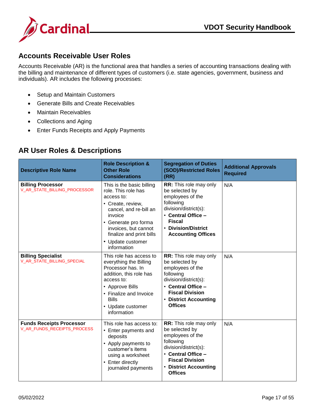

#### <span id="page-17-0"></span>**Accounts Receivable User Roles**

Accounts Receivable (AR) is the functional area that handles a series of accounting transactions dealing with the billing and maintenance of different types of customers (i.e. state agencies, government, business and individuals). AR includes the following processes:

- Setup and Maintain Customers
- Generate Bills and Create Receivables
- Maintain Receivables
- Collections and Aging
- Enter Funds Receipts and Apply Payments

#### <span id="page-17-1"></span>**AR User Roles & Descriptions**

| <b>Descriptive Role Name</b>                                   | <b>Role Description &amp;</b><br><b>Other Role</b><br><b>Considerations</b>                                                                                                                                                              | <b>Segregation of Duties</b><br>(SOD)/Restricted Roles<br>(RR)                                                                                                                                       | <b>Additional Approvals</b><br><b>Required</b> |
|----------------------------------------------------------------|------------------------------------------------------------------------------------------------------------------------------------------------------------------------------------------------------------------------------------------|------------------------------------------------------------------------------------------------------------------------------------------------------------------------------------------------------|------------------------------------------------|
| <b>Billing Processor</b><br>V_AR_STATE_BILLING_PROCESSOR       | This is the basic billing<br>role. This role has<br>access to:<br>• Create, review,<br>cancel, and re-bill an<br>invoice<br>• Generate pro forma<br>invoices, but cannot<br>finalize and print bills<br>• Update customer<br>information | <b>RR:</b> This role may only<br>be selected by<br>employees of the<br>following<br>division/district(s):<br>• Central Office -<br><b>Fiscal</b><br>• Division/District<br><b>Accounting Offices</b> | N/A                                            |
| <b>Billing Specialist</b><br>V_AR_STATE_BILLING_SPECIAL        | This role has access to<br>everything the Billing<br>Processor has. In<br>addition, this role has<br>access to:<br>• Approve Bills<br>• Finalize and Invoice<br><b>Bills</b><br>• Update customer<br>information                         | <b>RR:</b> This role may only<br>be selected by<br>employees of the<br>following<br>division/district(s):<br>• Central Office -<br><b>Fiscal Division</b><br>• District Accounting<br><b>Offices</b> | N/A                                            |
| <b>Funds Receipts Processor</b><br>V_AR_FUNDS_RECEIPTS_PROCESS | This role has access to:<br>• Enter payments and<br>deposits<br>• Apply payments to<br>customer's items<br>using a worksheet<br>• Enter directly<br>journaled payments                                                                   | RR: This role may only<br>be selected by<br>employees of the<br>following<br>division/district(s):<br>• Central Office -<br><b>Fiscal Division</b><br>• District Accounting<br><b>Offices</b>        | N/A                                            |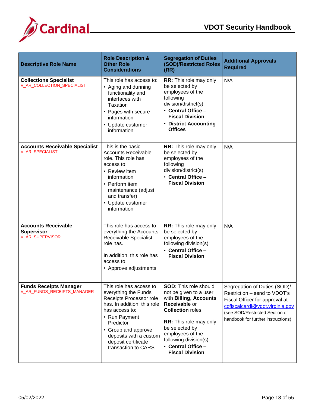

| <b>Descriptive Role Name</b>                                       | <b>Role Description &amp;</b><br><b>Other Role</b><br><b>Considerations</b>                                                                                                                                                                              | <b>Segregation of Duties</b><br>(SOD)/Restricted Roles<br>(RR)                                                                                                                                                                                                          | <b>Additional Approvals</b><br><b>Required</b>                                                                                                                                                            |
|--------------------------------------------------------------------|----------------------------------------------------------------------------------------------------------------------------------------------------------------------------------------------------------------------------------------------------------|-------------------------------------------------------------------------------------------------------------------------------------------------------------------------------------------------------------------------------------------------------------------------|-----------------------------------------------------------------------------------------------------------------------------------------------------------------------------------------------------------|
| <b>Collections Specialist</b><br>V_AR_COLLECTION_SPECIALIST        | This role has access to:<br>• Aging and dunning<br>functionality and<br>interfaces with<br>Taxation<br>• Pages with secure<br>information<br>• Update customer<br>information                                                                            | RR: This role may only<br>be selected by<br>employees of the<br>following<br>division/district(s):<br>• Central Office -<br><b>Fiscal Division</b><br>• District Accounting<br><b>Offices</b>                                                                           | N/A                                                                                                                                                                                                       |
| <b>Accounts Receivable Specialist</b><br>V_AR_SPECIALIST           | This is the basic<br><b>Accounts Receivable</b><br>role. This role has<br>access to:<br>• Review item<br>information<br>• Perform item<br>maintenance (adjust<br>and transfer)<br>• Update customer<br>information                                       | <b>RR:</b> This role may only<br>be selected by<br>employees of the<br>following<br>division/district(s):<br>• Central Office -<br><b>Fiscal Division</b>                                                                                                               | N/A                                                                                                                                                                                                       |
| <b>Accounts Receivable</b><br><b>Supervisor</b><br>V_AR_SUPERVISOR | This role has access to<br>everything the Accounts<br>Receivable Specialist<br>role has.<br>In addition, this role has<br>access to:<br>• Approve adjustments                                                                                            | RR: This role may only<br>be selected by<br>employees of the<br>following division(s):<br>• Central Office -<br><b>Fiscal Division</b>                                                                                                                                  | N/A                                                                                                                                                                                                       |
| <b>Funds Receipts Manager</b><br>V_AR_FUNDS_RECEIPTS_MANAGER       | This role has access to<br>everything the Funds<br>Receipts Processor role<br>has. In addition, this role<br>has access to:<br>• Run Payment<br>Predictor<br>• Group and approve<br>deposits with a custom<br>deposit certificate<br>transaction to CARS | <b>SOD:</b> This role should<br>not be given to a user<br>with Billing, Accounts<br>Receivable or<br><b>Collection roles.</b><br>RR: This role may only<br>be selected by<br>employees of the<br>following division(s):<br>• Central Office -<br><b>Fiscal Division</b> | Segregation of Duties (SOD)/<br>Restriction - send to VDOT's<br>Fiscal Officer for approval at<br>cofiscalcardi@vdot.virginia.gov<br>(see SOD/Restricted Section of<br>handbook for further instructions) |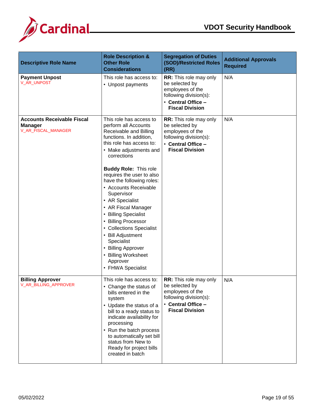

| <b>Descriptive Role Name</b>                                               | <b>Role Description &amp;</b><br><b>Other Role</b><br><b>Considerations</b>                                                                                                                                                                                                                                                                                                                                                                                                                                                                      | <b>Segregation of Duties</b><br>(SOD)/Restricted Roles<br>(RR)                                                                                | <b>Additional Approvals</b><br><b>Required</b> |
|----------------------------------------------------------------------------|--------------------------------------------------------------------------------------------------------------------------------------------------------------------------------------------------------------------------------------------------------------------------------------------------------------------------------------------------------------------------------------------------------------------------------------------------------------------------------------------------------------------------------------------------|-----------------------------------------------------------------------------------------------------------------------------------------------|------------------------------------------------|
| <b>Payment Unpost</b><br>V_AR_UNPOST                                       | This role has access to:<br>• Unpost payments                                                                                                                                                                                                                                                                                                                                                                                                                                                                                                    | RR: This role may only<br>be selected by<br>employees of the<br>following division(s):<br>• Central Office -<br><b>Fiscal Division</b>        | N/A                                            |
| <b>Accounts Receivable Fiscal</b><br><b>Manager</b><br>V_AR_FISCAL_MANAGER | This role has access to<br>perform all Accounts<br>Receivable and Billing<br>functions. In addition,<br>this role has access to:<br>• Make adjustments and<br>corrections<br><b>Buddy Role: This role</b><br>requires the user to also<br>have the following roles:<br>• Accounts Receivable<br>Supervisor<br>• AR Specialist<br>• AR Fiscal Manager<br>• Billing Specialist<br>• Billing Processor<br>• Collections Specialist<br>• Bill Adjustment<br>Specialist<br>• Billing Approver<br>• Billing Worksheet<br>Approver<br>• FHWA Specialist | <b>RR:</b> This role may only<br>be selected by<br>employees of the<br>following division(s):<br>• Central Office -<br><b>Fiscal Division</b> | N/A                                            |
| <b>Billing Approver</b><br>V_AR_BILLING_APPROVER                           | This role has access to:<br>• Change the status of<br>bills entered in the<br>system<br>• Update the status of a<br>bill to a ready status to<br>indicate availability for<br>processing<br>• Run the batch process<br>to automatically set bill<br>status from New to<br>Ready for project bills<br>created in batch                                                                                                                                                                                                                            | RR: This role may only<br>be selected by<br>employees of the<br>following division(s):<br>• Central Office -<br><b>Fiscal Division</b>        | N/A                                            |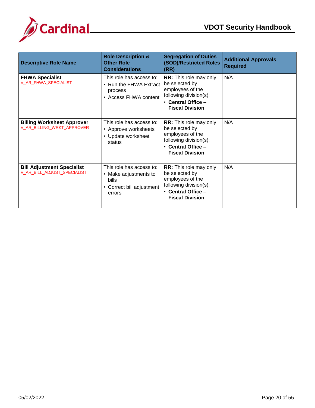

| <b>Descriptive Role Name</b>                                     | <b>Role Description &amp;</b><br><b>Other Role</b><br><b>Considerations</b>                       | <b>Segregation of Duties</b><br>(SOD)/Restricted Roles<br>(RR)                                                                                | <b>Additional Approvals</b><br><b>Required</b> |
|------------------------------------------------------------------|---------------------------------------------------------------------------------------------------|-----------------------------------------------------------------------------------------------------------------------------------------------|------------------------------------------------|
| <b>FHWA Specialist</b><br>V_AR_FHWA_SPECIALIST                   | This role has access to:<br>• Run the FHWA Extract<br>process<br>• Access FHWA content            | <b>RR:</b> This role may only<br>be selected by<br>employees of the<br>following division(s):<br>• Central Office -<br><b>Fiscal Division</b> | N/A                                            |
| <b>Billing Worksheet Approver</b><br>V_AR_BILLING_WRKT_APPROVER  | This role has access to:<br>• Approve worksheets<br>• Update worksheet<br>status                  | <b>RR:</b> This role may only<br>be selected by<br>employees of the<br>following division(s):<br>• Central Office -<br><b>Fiscal Division</b> | N/A                                            |
| <b>Bill Adjustment Specialist</b><br>V_AR_BILL_ADJUST_SPECIALIST | This role has access to:<br>• Make adjustments to<br>bills<br>• Correct bill adjustment<br>errors | <b>RR:</b> This role may only<br>be selected by<br>employees of the<br>following division(s):<br>• Central Office -<br><b>Fiscal Division</b> | N/A                                            |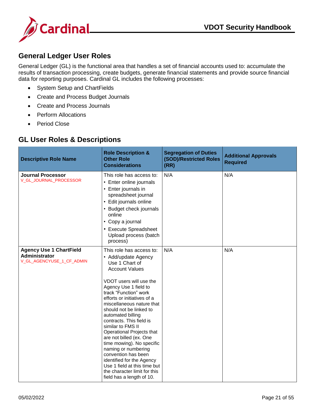

#### <span id="page-21-0"></span>**General Ledger User Roles**

General Ledger (GL) is the functional area that handles a set of financial accounts used to: accumulate the results of transaction processing, create budgets, generate financial statements and provide source financial data for reporting purposes. Cardinal GL includes the following processes:

- System Setup and ChartFields
- Create and Process Budget Journals
- Create and Process Journals
- Perform Allocations
- Period Close

#### <span id="page-21-1"></span>**GL User Roles & Descriptions**

| <b>Descriptive Role Name</b>                                                 | <b>Role Description &amp;</b><br><b>Other Role</b><br><b>Considerations</b>                                                                                                                                                                                                                                                                                                                                                                                                                                                                                                                       | <b>Segregation of Duties</b><br><b>(SOD)/Restricted Roles</b><br>(RR) | <b>Additional Approvals</b><br><b>Required</b> |
|------------------------------------------------------------------------------|---------------------------------------------------------------------------------------------------------------------------------------------------------------------------------------------------------------------------------------------------------------------------------------------------------------------------------------------------------------------------------------------------------------------------------------------------------------------------------------------------------------------------------------------------------------------------------------------------|-----------------------------------------------------------------------|------------------------------------------------|
| <b>Journal Processor</b><br>V_GL_JOURNAL_PROCESSOR                           | This role has access to:<br>• Enter online journals<br>• Enter journals in<br>spreadsheet journal<br>• Edit journals online<br>• Budget check journals<br>online<br>• Copy a journal<br>• Execute Spreadsheet<br>Upload process (batch<br>process)                                                                                                                                                                                                                                                                                                                                                | N/A                                                                   | N/A                                            |
| <b>Agency Use 1 ChartField</b><br>Administrator<br>V_GL_AGENCYUSE_1_CF_ADMIN | This role has access to:<br>• Add/update Agency<br>Use 1 Chart of<br><b>Account Values</b><br>VDOT users will use the<br>Agency Use 1 field to<br>track "Function" work<br>efforts or initiatives of a<br>miscellaneous nature that<br>should not be linked to<br>automated billing<br>contracts. This field is<br>similar to FMS II<br>Operational Projects that<br>are not billed (ex. One<br>time mowing). No specific<br>naming or numbering<br>convention has been<br>identified for the Agency<br>Use 1 field at this time but<br>the character limit for this<br>field has a length of 10. | N/A                                                                   | N/A                                            |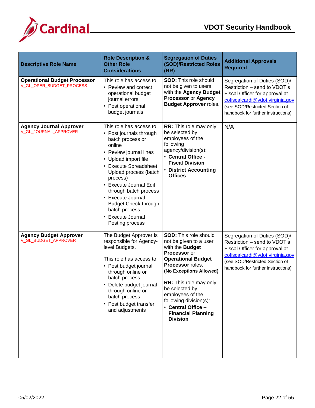

| <b>Descriptive Role Name</b>                                    | <b>Role Description &amp;</b><br><b>Other Role</b><br><b>Considerations</b>                                                                                                                                                                                                                                                                                       | <b>Segregation of Duties</b><br>(SOD)/Restricted Roles<br>(RR)                                                                                                                                                                                                                                                                                      | <b>Additional Approvals</b><br><b>Required</b>                                                                                                                                                            |
|-----------------------------------------------------------------|-------------------------------------------------------------------------------------------------------------------------------------------------------------------------------------------------------------------------------------------------------------------------------------------------------------------------------------------------------------------|-----------------------------------------------------------------------------------------------------------------------------------------------------------------------------------------------------------------------------------------------------------------------------------------------------------------------------------------------------|-----------------------------------------------------------------------------------------------------------------------------------------------------------------------------------------------------------|
| <b>Operational Budget Processor</b><br>V_GL_OPER_BUDGET_PROCESS | This role has access to:<br>• Review and correct<br>operational budget<br>journal errors<br>• Post operational<br>budget journals                                                                                                                                                                                                                                 | <b>SOD: This role should</b><br>not be given to users<br>with the Agency Budget<br>Processor or Agency<br><b>Budget Approver roles.</b>                                                                                                                                                                                                             | Segregation of Duties (SOD)/<br>Restriction - send to VDOT's<br>Fiscal Officer for approval at<br>cofiscalcardi@vdot.virginia.gov<br>(see SOD/Restricted Section of<br>handbook for further instructions) |
| <b>Agency Journal Approver</b><br>V_GL_JOURNAL_APPROVER         | This role has access to:<br>• Post journals through<br>batch process or<br>online<br>• Review journal lines<br>• Upload import file<br>• Execute Spreadsheet<br>Upload process (batch<br>process)<br>• Execute Journal Edit<br>through batch process<br>• Execute Journal<br><b>Budget Check through</b><br>batch process<br>• Execute Journal<br>Posting process | <b>RR:</b> This role may only<br>be selected by<br>employees of the<br>following<br>agency/division(s):<br>• Central Office -<br><b>Fiscal Division</b><br>• District Accounting<br><b>Offices</b>                                                                                                                                                  | N/A                                                                                                                                                                                                       |
| <b>Agency Budget Approver</b><br>V_GL_BUDGET_APPROVER           | The Budget Approver is<br>responsible for Agency-<br>level Budgets.<br>This role has access to:<br>• Post budget journal<br>through online or<br>batch process<br>Delete budget journal<br>through online or<br>batch process<br>• Post budget transfer<br>and adjustments                                                                                        | <b>SOD: This role should</b><br>not be given to a user<br>with the <b>Budget</b><br>Processor or<br><b>Operational Budget</b><br>Processor roles.<br>(No Exceptions Allowed)<br><b>RR:</b> This role may only<br>be selected by<br>employees of the<br>following division(s):<br>• Central Office -<br><b>Financial Planning</b><br><b>Division</b> | Segregation of Duties (SOD)/<br>Restriction - send to VDOT's<br>Fiscal Officer for approval at<br>cofiscalcardi@vdot.virginia.gov<br>(see SOD/Restricted Section of<br>handbook for further instructions) |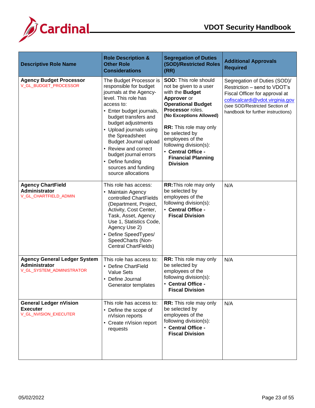

| <b>Descriptive Role Name</b>                                                      | <b>Role Description &amp;</b><br><b>Other Role</b><br><b>Considerations</b>                                                                                                                                                                                                                                                                                                                  | <b>Segregation of Duties</b><br>(SOD)/Restricted Roles<br>(RR)                                                                                                                                                                                                                                                                              | <b>Additional Approvals</b><br><b>Required</b>                                                                                                                                                            |
|-----------------------------------------------------------------------------------|----------------------------------------------------------------------------------------------------------------------------------------------------------------------------------------------------------------------------------------------------------------------------------------------------------------------------------------------------------------------------------------------|---------------------------------------------------------------------------------------------------------------------------------------------------------------------------------------------------------------------------------------------------------------------------------------------------------------------------------------------|-----------------------------------------------------------------------------------------------------------------------------------------------------------------------------------------------------------|
| <b>Agency Budget Processor</b><br>V_GL_BUDGET_PROCESSOR                           | The Budget Processor is<br>responsible for budget<br>journals at the Agency-<br>level. This role has<br>access to:<br>• Enter budget journals,<br>budget transfers and<br>budget adjustments<br>• Upload journals using<br>the Spreadsheet<br><b>Budget Journal upload</b><br>• Review and correct<br>budget journal errors<br>• Define funding<br>sources and funding<br>source allocations | <b>SOD:</b> This role should<br>not be given to a user<br>with the <b>Budget</b><br>Approver or<br><b>Operational Budget</b><br>Processor roles.<br>(No Exceptions Allowed)<br>RR: This role may only<br>be selected by<br>employees of the<br>following division(s):<br>• Central Office -<br><b>Financial Planning</b><br><b>Division</b> | Segregation of Duties (SOD)/<br>Restriction - send to VDOT's<br>Fiscal Officer for approval at<br>cofiscalcardi@vdot.virginia.gov<br>(see SOD/Restricted Section of<br>handbook for further instructions) |
| <b>Agency ChartField</b><br><b>Administrator</b><br>V_GL_CHARTFIELD_ADMIN         | This role has access:<br>• Maintain Agency<br>controlled ChartFields<br>(Department, Project,<br>Activity, Cost Center,<br>Task, Asset, Agency<br>Use 1, Statistics Code,<br>Agency Use 2)<br>• Define SpeedTypes/<br>SpeedCharts (Non-<br><b>Central ChartFields)</b>                                                                                                                       | <b>RR: This role may only</b><br>be selected by<br>employees of the<br>following division(s):<br>• Central Office -<br><b>Fiscal Division</b>                                                                                                                                                                                               | N/A                                                                                                                                                                                                       |
| <b>Agency General Ledger System</b><br>Administrator<br>V_GL_SYSTEM_ADMINISTRATOR | This role has access to:<br>• Define ChartField<br><b>Value Sets</b><br>• Define Journal<br>Generator templates                                                                                                                                                                                                                                                                              | <b>RR:</b> This role may only<br>be selected by<br>employees of the<br>following division(s):<br>• Central Office -<br><b>Fiscal Division</b>                                                                                                                                                                                               | N/A                                                                                                                                                                                                       |
| <b>General Ledger nVision</b><br><b>Executer</b><br>V_GL_NVISION_EXECUTER         | This role has access to:<br>• Define the scope of<br>nVision reports<br>• Create nVision report<br>requests                                                                                                                                                                                                                                                                                  | RR: This role may only<br>be selected by<br>employees of the<br>following division(s):<br>• Central Office -<br><b>Fiscal Division</b>                                                                                                                                                                                                      | N/A                                                                                                                                                                                                       |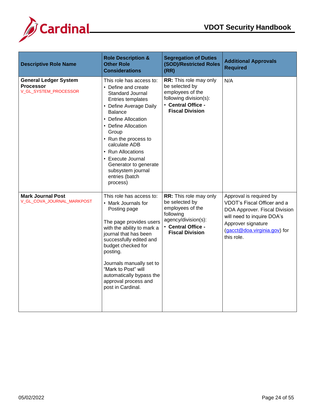

| <b>Descriptive Role Name</b>                                              | <b>Role Description &amp;</b><br><b>Other Role</b><br><b>Considerations</b>                                                                                                                                                                                                                                                                                | <b>Segregation of Duties</b><br>(SOD)/Restricted Roles<br>(RR)                                                                                   | <b>Additional Approvals</b><br><b>Required</b>                                                                                                                                            |
|---------------------------------------------------------------------------|------------------------------------------------------------------------------------------------------------------------------------------------------------------------------------------------------------------------------------------------------------------------------------------------------------------------------------------------------------|--------------------------------------------------------------------------------------------------------------------------------------------------|-------------------------------------------------------------------------------------------------------------------------------------------------------------------------------------------|
| <b>General Ledger System</b><br><b>Processor</b><br>V_GL_SYSTEM_PROCESSOR | This role has access to:<br>• Define and create<br>Standard Journal<br>Entries templates<br>• Define Average Daily<br><b>Balance</b><br>• Define Allocation<br>• Define Allocation<br>Group<br>• Run the process to<br>calculate ADB<br>• Run Allocations<br>• Execute Journal<br>Generator to generate<br>subsystem journal<br>entries (batch<br>process) | RR: This role may only<br>be selected by<br>employees of the<br>following division(s):<br>• Central Office -<br><b>Fiscal Division</b>           | N/A                                                                                                                                                                                       |
| <b>Mark Journal Post</b><br>V_GL_COVA_JOURNAL_MARKPOST                    | This role has access to:<br>• Mark Journals for<br>Posting page<br>The page provides users<br>with the ability to mark a<br>journal that has been<br>successfully edited and<br>budget checked for<br>posting.<br>Journals manually set to<br>"Mark to Post" will<br>automatically bypass the<br>approval process and<br>post in Cardinal.                 | RR: This role may only<br>be selected by<br>employees of the<br>following<br>agency/division(s):<br>• Central Office -<br><b>Fiscal Division</b> | Approval is required by<br>VDOT's Fiscal Officer and a<br>DOA Approver. Fiscal Division<br>will need to inquire DOA's<br>Approver signature<br>(gacct@doa.virginia.gov) for<br>this role. |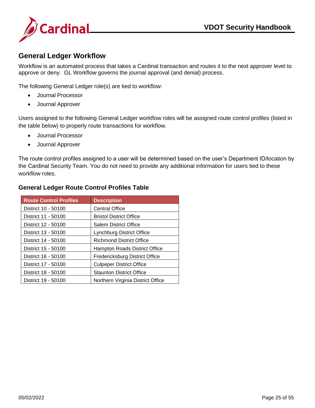



#### <span id="page-25-0"></span>**General Ledger Workflow**

Workflow is an automated process that takes a Cardinal transaction and routes it to the next approver level to approve or deny. GL Workflow governs the journal approval (and denial) process.

The following General Ledger role(s) are tied to workflow:

- Journal Processor
- Journal Approver

Users assigned to the following General Ledger workflow roles will be assigned route control profiles (listed in the table below) to properly route transactions for workflow.

- Journal Processor
- Journal Approver

The route control profiles assigned to a user will be determined based on the user's Department ID/location by the Cardinal Security Team. You do not need to provide any additional information for users tied to these workflow roles.

#### **Route Control Profiles | Description** District 10 - 50100 | Central Office District 11 - 50100 | Bristol District Office District 12 - 50100 | Salem District Office District 13 - 50100 | Lynchburg District Office District 14 - 50100 | Richmond District Office District 15 - 50100 | Hampton Roads District Office District 16 - 50100 | Fredericksburg District Office District 17 - 50100 | Culpeper District Office District 18 - 50100 | Staunton District Office District 19 - 50100 | Northern Virginia District Office

#### <span id="page-25-1"></span>**General Ledger Route Control Profiles Table**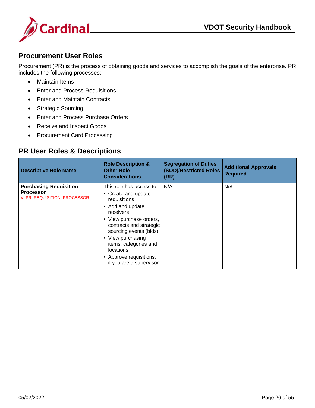

#### <span id="page-26-0"></span>**Procurement User Roles**

Procurement (PR) is the process of obtaining goods and services to accomplish the goals of the enterprise. PR includes the following processes:

- Maintain Items
- Enter and Process Requisitions
- Enter and Maintain Contracts
- Strategic Sourcing
- Enter and Process Purchase Orders
- Receive and Inspect Goods
- Procurement Card Processing

#### <span id="page-26-1"></span>**PR User Roles & Descriptions**

| <b>Descriptive Role Name</b>                                                    | <b>Role Description &amp;</b><br><b>Other Role</b><br><b>Considerations</b>                                                                                                                                                                                                                                             | <b>Segregation of Duties</b><br>(SOD)/Restricted Roles<br>(RR) | <b>Additional Approvals</b><br><b>Required</b> |
|---------------------------------------------------------------------------------|-------------------------------------------------------------------------------------------------------------------------------------------------------------------------------------------------------------------------------------------------------------------------------------------------------------------------|----------------------------------------------------------------|------------------------------------------------|
| <b>Purchasing Requisition</b><br><b>Processor</b><br>V PR REQUISITION PROCESSOR | This role has access to:<br>Create and update<br>$\bullet$<br>requisitions<br>Add and update<br>$\bullet$<br>receivers<br>• View purchase orders,<br>contracts and strategic<br>sourcing events (bids)<br>• View purchasing<br>items, categories and<br>locations<br>• Approve requisitions,<br>if you are a supervisor | N/A                                                            | N/A                                            |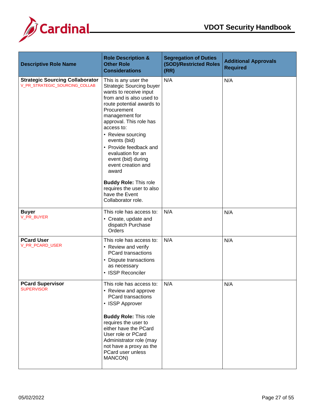

| <b>Descriptive Role Name</b>                                             | <b>Role Description &amp;</b><br><b>Other Role</b><br><b>Considerations</b>                                                                                                                                                                                                                                                                                                                                                | <b>Segregation of Duties</b><br>(SOD)/Restricted Roles<br>(RR) | <b>Additional Approvals</b><br><b>Required</b> |
|--------------------------------------------------------------------------|----------------------------------------------------------------------------------------------------------------------------------------------------------------------------------------------------------------------------------------------------------------------------------------------------------------------------------------------------------------------------------------------------------------------------|----------------------------------------------------------------|------------------------------------------------|
| <b>Strategic Sourcing Collaborator</b><br>V_PR_STRATEGIC_SOURCING_COLLAB | This is any user the<br><b>Strategic Sourcing buyer</b><br>wants to receive input<br>from and is also used to<br>route potential awards to<br>Procurement<br>management for<br>approval. This role has<br>access to:<br>• Review sourcing<br>events (bid)<br>• Provide feedback and<br>evaluation for an<br>event (bid) during<br>event creation and<br>award<br><b>Buddy Role: This role</b><br>requires the user to also | N/A                                                            | N/A                                            |
|                                                                          | have the Event<br>Collaborator role.                                                                                                                                                                                                                                                                                                                                                                                       |                                                                |                                                |
| <b>Buyer</b><br>V_PR_BUYER                                               | This role has access to:<br>• Create, update and<br>dispatch Purchase<br>Orders                                                                                                                                                                                                                                                                                                                                            | N/A                                                            | N/A                                            |
| <b>PCard User</b><br>V_PR_PCARD_USER                                     | This role has access to:<br>• Review and verify<br><b>PCard transactions</b><br>• Dispute transactions<br>as necessary<br>• ISSP Reconciler                                                                                                                                                                                                                                                                                | N/A                                                            | N/A                                            |
| <b>PCard Supervisor</b><br><b>SUPERVISOR</b>                             | This role has access to:<br>• Review and approve<br><b>PCard transactions</b><br>• ISSP Approver<br><b>Buddy Role: This role</b><br>requires the user to<br>either have the PCard<br>User role or PCard<br>Administrator role (may<br>not have a proxy as the<br>PCard user unless<br>MANCON)                                                                                                                              | N/A                                                            | N/A                                            |
|                                                                          |                                                                                                                                                                                                                                                                                                                                                                                                                            |                                                                |                                                |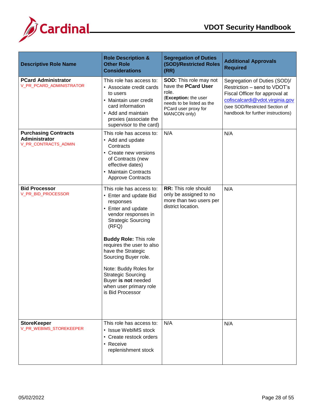

| <b>Descriptive Role Name</b>                                         | <b>Role Description &amp;</b><br><b>Other Role</b><br><b>Considerations</b>                                                                                                                                                                                                                                                                                                              | <b>Segregation of Duties</b><br>(SOD)/Restricted Roles<br>(RR)                                                                                             | <b>Additional Approvals</b><br><b>Required</b>                                                                                                                                                            |
|----------------------------------------------------------------------|------------------------------------------------------------------------------------------------------------------------------------------------------------------------------------------------------------------------------------------------------------------------------------------------------------------------------------------------------------------------------------------|------------------------------------------------------------------------------------------------------------------------------------------------------------|-----------------------------------------------------------------------------------------------------------------------------------------------------------------------------------------------------------|
| <b>PCard Administrator</b><br><b>V PR PCARD ADMINISTRATOR</b>        | This role has access to:<br>• Associate credit cards<br>to users<br>• Maintain user credit<br>card information<br>• Add and maintain<br>proxies (associate the<br>supervisor to the card)                                                                                                                                                                                                | <b>SOD:</b> This role may not<br>have the PCard User<br>role.<br>(Exception: the user<br>needs to be listed as the<br>PCard user proxy for<br>MANCON only) | Segregation of Duties (SOD)/<br>Restriction - send to VDOT's<br>Fiscal Officer for approval at<br>cofiscalcardi@vdot.virginia.gov<br>(see SOD/Restricted Section of<br>handbook for further instructions) |
| <b>Purchasing Contracts</b><br>Administrator<br>V_PR_CONTRACTS_ADMIN | This role has access to:<br>• Add and update<br>Contracts<br>• Create new versions<br>of Contracts (new<br>effective dates)<br>• Maintain Contracts<br><b>Approve Contracts</b>                                                                                                                                                                                                          | N/A                                                                                                                                                        | N/A                                                                                                                                                                                                       |
| <b>Bid Processor</b><br>V_PR_BID_PROCESSOR                           | This role has access to:<br>• Enter and update Bid<br>responses<br>• Enter and update<br>vendor responses in<br><b>Strategic Sourcing</b><br>(RFQ)<br><b>Buddy Role: This role</b><br>requires the user to also<br>have the Strategic<br>Sourcing Buyer role.<br>Note: Buddy Roles for<br><b>Strategic Sourcing</b><br>Buyer is not needed<br>when user primary role<br>is Bid Processor | <b>RR:</b> This role should<br>only be assigned to no<br>more than two users per<br>district location.                                                     | N/A                                                                                                                                                                                                       |
| <b>StoreKeeper</b><br>V_PR_WEBIMS_STOREKEEPER                        | This role has access to:<br>• Issue WebIMS stock<br>• Create restock orders<br>• Receive<br>replenishment stock                                                                                                                                                                                                                                                                          | N/A                                                                                                                                                        | N/A                                                                                                                                                                                                       |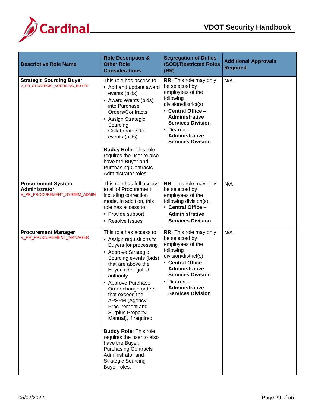

| <b>Descriptive Role Name</b>                                                | <b>Role Description &amp;</b><br><b>Other Role</b><br><b>Considerations</b>                                                                                                                                                                                                                                                                                                                                                                                                                                                    | <b>Segregation of Duties</b><br>(SOD)/Restricted Roles<br>(RR)                                                                                                                                                                                         | <b>Additional Approvals</b><br><b>Required</b> |
|-----------------------------------------------------------------------------|--------------------------------------------------------------------------------------------------------------------------------------------------------------------------------------------------------------------------------------------------------------------------------------------------------------------------------------------------------------------------------------------------------------------------------------------------------------------------------------------------------------------------------|--------------------------------------------------------------------------------------------------------------------------------------------------------------------------------------------------------------------------------------------------------|------------------------------------------------|
| <b>Strategic Sourcing Buyer</b><br>V_PR_STRATEGIC_SOURCING_BUYER            | This role has access to:<br>• Add and update award<br>events (bids)<br>• Award events (bids)<br>into Purchase<br>Orders/Contracts<br>• Assign Strategic<br>Sourcing<br>Collaborators to<br>events (bids)<br><b>Buddy Role: This role</b><br>requires the user to also<br>have the Buyer and<br><b>Purchasing Contracts</b><br>Administrator roles.                                                                                                                                                                             | <b>RR:</b> This role may only<br>be selected by<br>employees of the<br>following<br>division/district(s):<br>• Central Office -<br><b>Administrative</b><br><b>Services Division</b><br>• District $-$<br>Administrative<br><b>Services Division</b>   | N/A                                            |
| <b>Procurement System</b><br>Administrator<br>V_PR_PROCUREMENT_SYSTEM_ADMIN | This role has full access<br>to all of Procurement<br>including correction<br>mode. In addition, this<br>role has access to:<br>• Provide support<br>• Resolve issues                                                                                                                                                                                                                                                                                                                                                          | <b>RR:</b> This role may only<br>be selected by<br>employees of the<br>following division(s):<br>• Central Office -<br><b>Administrative</b><br><b>Services Division</b>                                                                               | N/A                                            |
| <b>Procurement Manager</b><br>V_PR_PROCUREMENT_MANAGER                      | This role has access to:<br>• Assign requisitions to<br>Buyers for processing<br>• Approve Strategic<br>Sourcing events (bids)<br>that are above the<br>Buyer's delegated<br>authority<br>• Approve Purchase<br>Order change orders<br>that exceed the<br>APSPM (Agency<br>Procurement and<br><b>Surplus Property</b><br>Manual), if required<br><b>Buddy Role: This role</b><br>requires the user to also<br>have the Buyer,<br><b>Purchasing Contracts</b><br>Administrator and<br><b>Strategic Sourcing</b><br>Buyer roles. | RR: This role may only<br>be selected by<br>employees of the<br>following<br>division/district(s):<br>• Central Office<br><b>Administrative</b><br><b>Services Division</b><br>$\cdot$ District -<br><b>Administrative</b><br><b>Services Division</b> | N/A                                            |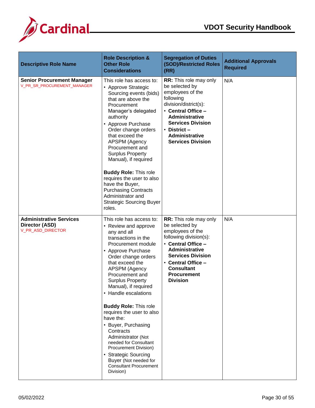

| <b>Descriptive Role Name</b>                                          | <b>Role Description &amp;</b><br><b>Other Role</b><br><b>Considerations</b>                                                                                                                                                                                                                                                                                                                                                                                                                                                                                                      | <b>Segregation of Duties</b><br>(SOD)/Restricted Roles<br>(RR)                                                                                                                                                                                               | <b>Additional Approvals</b><br><b>Required</b> |
|-----------------------------------------------------------------------|----------------------------------------------------------------------------------------------------------------------------------------------------------------------------------------------------------------------------------------------------------------------------------------------------------------------------------------------------------------------------------------------------------------------------------------------------------------------------------------------------------------------------------------------------------------------------------|--------------------------------------------------------------------------------------------------------------------------------------------------------------------------------------------------------------------------------------------------------------|------------------------------------------------|
| <b>Senior Procurement Manager</b><br>V_PR_SR_PROCUREMENT_MANAGER      | This role has access to:<br>• Approve Strategic<br>Sourcing events (bids)<br>that are above the<br>Procurement<br>Manager's delegated<br>authority<br>• Approve Purchase<br>Order change orders<br>that exceed the<br>APSPM (Agency<br>Procurement and<br><b>Surplus Property</b><br>Manual), if required<br><b>Buddy Role: This role</b><br>requires the user to also<br>have the Buyer,<br><b>Purchasing Contracts</b><br>Administrator and<br><b>Strategic Sourcing Buyer</b><br>roles.                                                                                       | RR: This role may only<br>be selected by<br>employees of the<br>following<br>division/district(s):<br>• Central Office -<br><b>Administrative</b><br><b>Services Division</b><br>• District –<br>Administrative<br><b>Services Division</b>                  | N/A                                            |
| <b>Administrative Services</b><br>Director (ASD)<br>V_PR_ASD_DIRECTOR | This role has access to:<br>• Review and approve<br>any and all<br>transactions in the<br>Procurement module<br>• Approve Purchase<br>Order change orders<br>that exceed the<br>APSPM (Agency<br>Procurement and<br><b>Surplus Property</b><br>Manual), if required<br>• Handle escalations<br><b>Buddy Role: This role</b><br>requires the user to also<br>have the:<br>• Buyer, Purchasing<br>Contracts<br>Administrator (Not<br>needed for Consultant<br>Procurement Division)<br>• Strategic Sourcing<br>Buyer (Not needed for<br><b>Consultant Procurement</b><br>Division) | <b>RR:</b> This role may only<br>be selected by<br>employees of the<br>following division(s):<br>• Central Office -<br><b>Administrative</b><br><b>Services Division</b><br>• Central Office -<br><b>Consultant</b><br><b>Procurement</b><br><b>Division</b> | N/A                                            |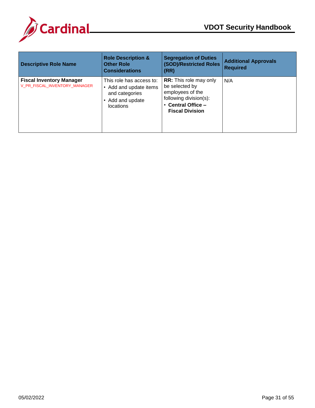

| <b>Descriptive Role Name</b>                                     | <b>Role Description &amp;</b><br><b>Other Role</b><br><b>Considerations</b>                                  | <b>Segregation of Duties</b><br><b>(SOD)/Restricted Roles</b><br>(RR)                                                                                    | <b>Additional Approvals</b><br><b>Required</b> |
|------------------------------------------------------------------|--------------------------------------------------------------------------------------------------------------|----------------------------------------------------------------------------------------------------------------------------------------------------------|------------------------------------------------|
| <b>Fiscal Inventory Manager</b><br>V_PR_FISCAL_INVENTORY_MANAGER | This role has access to:<br>• Add and update items<br>and categories<br>• Add and update<br><b>locations</b> | <b>RR:</b> This role may only<br>be selected by<br>employees of the<br>following division(s):<br>Central Office -<br>$\bullet$<br><b>Fiscal Division</b> | N/A                                            |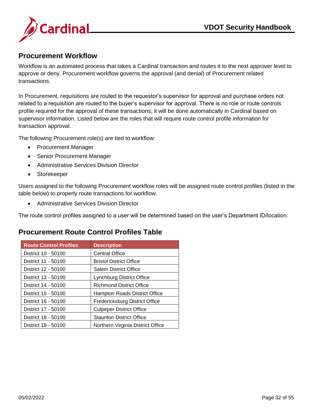

#### <span id="page-32-0"></span>**Procurement Workflow**

Workflow is an automated process that takes a Cardinal transaction and routes it to the next approver level to approve or deny. Procurement workflow governs the approval (and denial) of Procurement related transactions.

In Procurement, requisitions are routed to the requestor's supervisor for approval and purchase orders not related to a requisition are routed to the buyer's supervisor for approval. There is no role or route controls profile required for the approval of these transactions; it will be done automatically in Cardinal based on supervisor information. Listed below are the roles that will require route control profile information for transaction approval.

The following Procurement role(s) are tied to workflow:

- Procurement Manager
- Senior Procurement Manager
- Administrative Services Division Director
- Storekeeper

Users assigned to the following Procurement workflow roles will be assigned route control profiles (listed in the table below) to properly route transactions for workflow.

Administrative Services Division Director

<span id="page-32-1"></span>The route control profiles assigned to a user will be determined based on the user's Department ID/location.

| <b>Route Control Profiles</b> | <b>Description</b>                |
|-------------------------------|-----------------------------------|
| District 10 - 50100           | <b>Central Office</b>             |
| District 11 - 50100           | <b>Bristol District Office</b>    |
| District 12 - 50100           | <b>Salem District Office</b>      |
| District 13 - 50100           | Lynchburg District Office         |
| District 14 - 50100           | <b>Richmond District Office</b>   |
| District 15 - 50100           | Hampton Roads District Office     |
| District 16 - 50100           | Fredericksburg District Office    |
| District 17 - 50100           | <b>Culpeper District Office</b>   |
| District 18 - 50100           | <b>Staunton District Office</b>   |
| District 19 - 50100           | Northern Virginia District Office |

## **Procurement Route Control Profiles Table**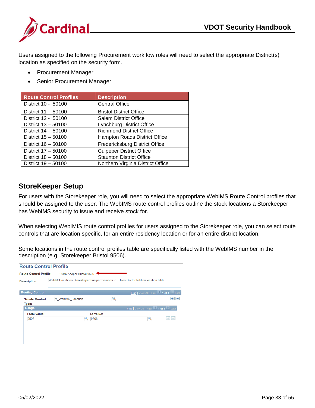

Users assigned to the following Procurement workflow roles will need to select the appropriate District(s) location as specified on the security form.

- Procurement Manager
- Senior Procurement Manager

| <b>Route Control Profiles</b> | <b>Description</b>                |
|-------------------------------|-----------------------------------|
| District 10 - 50100           | <b>Central Office</b>             |
| District 11 - 50100           | <b>Bristol District Office</b>    |
| District 12 - 50100           | <b>Salem District Office</b>      |
| District 13 - 50100           | <b>Lynchburg District Office</b>  |
| District 14 - 50100           | <b>Richmond District Office</b>   |
| District 15 - 50100           | Hampton Roads District Office     |
| District 16 - 50100           | Fredericksburg District Office    |
| District 17 - 50100           | <b>Culpeper District Office</b>   |
| District 18 - 50100           | <b>Staunton District Office</b>   |
| District 19 - 50100           | Northern Virginia District Office |

#### <span id="page-33-0"></span>**StoreKeeper Setup**

For users with the Storekeeper role, you will need to select the appropriate WebIMS Route Control profiles that should be assigned to the user. The WebIMS route control profiles outline the stock locations a Storekeeper has WebIMS security to issue and receive stock for.

When selecting WebIMIS route control profiles for users assigned to the Storekeeper role, you can select route controls that are location specific, for an entire residency location or for an entire district location.

Some locations in the route control profiles table are specifically listed with the WebIMS number in the description (e.g. Storekeeper Bristol 9506).

| <b>Route Control Profile</b> |                                                                                       |                   |                                                 |         |
|------------------------------|---------------------------------------------------------------------------------------|-------------------|-------------------------------------------------|---------|
| Route Control Profile:       | Store Keeper Bristol 9506                                                             |                   |                                                 |         |
| <b>Description:</b>          | WebIMS locations Storekkeper has permissions to. Uses Sector field on location table. |                   |                                                 |         |
| <b>Routing Control</b>       |                                                                                       |                   | Find   View All First $\Box$ 1 of 1 $\Box$ Last |         |
| *Route Control<br>Type:      | V WebIMS Location                                                                     |                   |                                                 | $+$ $-$ |
| Range                        |                                                                                       |                   | Find   View All First 1 of 1 2 Last             |         |
| <b>From Value:</b><br>9506   |                                                                                       | To Value:<br>9506 | $+$ $-$                                         |         |
|                              |                                                                                       |                   |                                                 |         |
|                              |                                                                                       |                   |                                                 |         |
|                              |                                                                                       |                   |                                                 |         |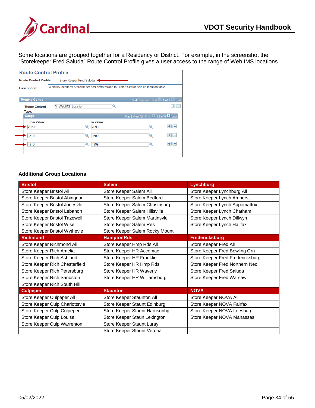

Some locations are grouped together for a Residency or District. For example, in the screenshot the "Storekeeper Fred Saluda" Route Control Profile gives a user access to the range of Web IMS locations

| <b>Route Control Profile</b>  |                                                                                       |                          |                                     |                                       |         |
|-------------------------------|---------------------------------------------------------------------------------------|--------------------------|-------------------------------------|---------------------------------------|---------|
| <b>Route Control Profile:</b> | Store Keeper Fred Saluda                                                              |                          |                                     |                                       |         |
| <b>Description:</b>           | WebIMS locations Storekkeper has permissions to. Uses Sector field on location table. |                          |                                     |                                       |         |
| <b>Routing Control</b>        |                                                                                       |                          |                                     | Find   View All First 1 1 of 1 2 Last |         |
| *Route Control<br>Type:       | V WebIMS Location                                                                     |                          |                                     |                                       | $+$ $-$ |
| Range                         |                                                                                       |                          | Find   View All First 1-3 of 6 Last |                                       |         |
| <b>From Value:</b><br>2820    |                                                                                       | <b>To Value:</b><br>2899 |                                     |                                       | $+$ $-$ |
| 3610                          |                                                                                       | 3699                     |                                     |                                       | $+$ $-$ |
| 4910                          |                                                                                       | 4999                     |                                     |                                       | $+$ $-$ |
|                               |                                                                                       |                          |                                     |                                       |         |
|                               |                                                                                       |                          |                                     |                                       |         |

#### **Additional Group Locations**

| <b>Bristol</b>                 | <b>Salem</b>                   | Lynchburg                        |
|--------------------------------|--------------------------------|----------------------------------|
| Store Keeper Bristol All       | Store Keeper Salem All         | Store Keeper Lynchburg All       |
| Store Keeper Bristol Abingdon  | Store Keeper Salem Bedford     | Store Keeper Lynch Amherst       |
| Store Keeper Bristol Jonesvle  | Store Keeper Salem Christnsbrg | Store Keeper Lynch Appomattox    |
| Store Keeper Bristol Lebanon   | Store Keeper Salem Hillsville  | Store Keeper Lynch Chatham       |
| Store Keeper Bristol Tazewell  | Store Keeper Salem Martinsvle  | Store Keeper Lynch Dillwyn       |
| Store Keeper Bristol Wise      | Store Keeper Salem Res         | Store Keeper Lynch Halifax       |
| Store Keeper Bristol Wythevle  | Store Keeper Salem Rocky Mount |                                  |
| <b>Richmond</b>                | <b>HamptonRds</b>              | <b>Fredericksburg</b>            |
| Store Keeper Richmond All      | Store Keeper Hmp Rds All       | Store Keeper Fred All            |
| Store Keeper Rich Amelia       | Store Keeper HR Accomac        | Store Keeper Fred Bowling Grn    |
| Store Keeper Rich Ashland      | Store Keeper HR Franklin       | Store Keeper Fred Fredericksburg |
| Store Keeper Rich Chesterfield | Store Keeper HR Hmp Rds        | Store Keeper Fred Northern Nec   |
| Store Keeper Rich Petersburg   | Store Keeper HR Waverly        | Store Keeper Fred Saluda         |
| Store Keeper Rich Sandston     | Store Keeper HR Williamsburg   | Store Keeper Fred Warsaw         |
| Store Keeper Rich South Hill   |                                |                                  |
| <b>Culpeper</b>                | <b>Staunton</b>                | <b>NOVA</b>                      |
| Store Keeper Culpeper All      | Store Keeper Staunton All      | Store Keeper NOVA All            |
| Store Keeper Culp Charlottsvle | Store Keeper Staunt Edinburg   | Store Keeper NOVA Fairfax        |
| Store Keeper Culp Culpeper     | Store Keeper Staunt Harrisonbg | Store Keeper NOVA Leesburg       |
| Store Keeper Culp Louisa       | Store Keeper Staun Lexington   | Store Keeper NOVA Manassas       |
| Store Keeper Culp Warrenton    | Store Keeper Staunt Luray      |                                  |
|                                | Store Keeper Staunt Verona     |                                  |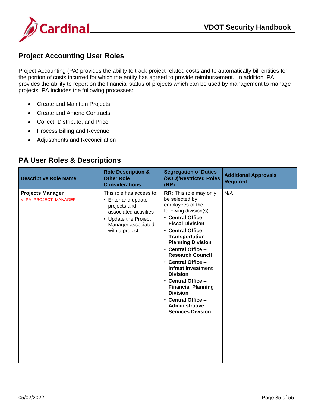

## <span id="page-35-0"></span>**Project Accounting User Roles**

Project Accounting (PA) provides the ability to track project related costs and to automatically bill entities for the portion of costs incurred for which the entity has agreed to provide reimbursement. In addition, PA provides the ability to report on the financial status of projects which can be used by management to manage projects. PA includes the following processes:

- Create and Maintain Projects
- Create and Amend Contracts
- Collect, Distribute, and Price
- Process Billing and Revenue
- Adjustments and Reconciliation

#### <span id="page-35-1"></span>**PA User Roles & Descriptions**

| <b>Descriptive Role Name</b>                    | <b>Role Description &amp;</b><br><b>Other Role</b><br><b>Considerations</b>                                                                             | <b>Segregation of Duties</b><br>(SOD)/Restricted Roles<br>(RR)                                                                                                                                                                                                                                                                                                                                                                                                                            | <b>Additional Approvals</b><br><b>Required</b> |
|-------------------------------------------------|---------------------------------------------------------------------------------------------------------------------------------------------------------|-------------------------------------------------------------------------------------------------------------------------------------------------------------------------------------------------------------------------------------------------------------------------------------------------------------------------------------------------------------------------------------------------------------------------------------------------------------------------------------------|------------------------------------------------|
| <b>Projects Manager</b><br>V_PA_PROJECT_MANAGER | This role has access to:<br>• Enter and update<br>projects and<br>associated activities<br>• Update the Project<br>Manager associated<br>with a project | <b>RR:</b> This role may only<br>be selected by<br>employees of the<br>following division(s):<br>• Central Office -<br><b>Fiscal Division</b><br>• Central Office -<br><b>Transportation</b><br><b>Planning Division</b><br>• Central Office -<br><b>Research Council</b><br>• Central Office -<br><b>Infrast Investment</b><br><b>Division</b><br>• Central Office -<br><b>Financial Planning</b><br><b>Division</b><br>• Central Office -<br>Administrative<br><b>Services Division</b> | N/A                                            |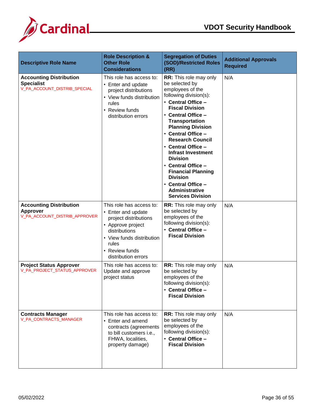

| <b>Descriptive Role Name</b>                                                        | <b>Role Description &amp;</b><br><b>Other Role</b><br><b>Considerations</b>                                                                                                                  | <b>Segregation of Duties</b><br>(SOD)/Restricted Roles<br>(RR)                                                                                                                                                                                                                                                                                                                                                                                                                     | <b>Additional Approvals</b><br><b>Required</b> |
|-------------------------------------------------------------------------------------|----------------------------------------------------------------------------------------------------------------------------------------------------------------------------------------------|------------------------------------------------------------------------------------------------------------------------------------------------------------------------------------------------------------------------------------------------------------------------------------------------------------------------------------------------------------------------------------------------------------------------------------------------------------------------------------|------------------------------------------------|
| <b>Accounting Distribution</b><br><b>Specialist</b><br>V_PA_ACCOUNT_DISTRIB_SPECIAL | This role has access to:<br>• Enter and update<br>project distributions<br>• View funds distribution<br>rules<br>• Review funds<br>distribution errors                                       | RR: This role may only<br>be selected by<br>employees of the<br>following division(s):<br>• Central Office -<br><b>Fiscal Division</b><br>• Central Office -<br><b>Transportation</b><br><b>Planning Division</b><br>• Central Office -<br><b>Research Council</b><br>• Central Office -<br><b>Infrast Investment</b><br><b>Division</b><br>• Central Office -<br><b>Financial Planning</b><br><b>Division</b><br>• Central Office -<br>Administrative<br><b>Services Division</b> | N/A                                            |
| <b>Accounting Distribution</b><br>Approver<br>V_PA_ACCOUNT_DISTRIB_APPROVER         | This role has access to:<br>• Enter and update<br>project distributions<br>• Approve project<br>distributions<br>• View funds distribution<br>rules<br>• Review funds<br>distribution errors | <b>RR:</b> This role may only<br>be selected by<br>employees of the<br>following division(s):<br>• Central Office -<br><b>Fiscal Division</b>                                                                                                                                                                                                                                                                                                                                      | N/A                                            |
| <b>Project Status Approver</b><br>V_PA_PROJECT_STATUS_APPROVER                      | This role has access to:<br>Update and approve<br>project status                                                                                                                             | <b>RR:</b> This role may only<br>be selected by<br>employees of the<br>following division(s):<br>• Central Office -<br><b>Fiscal Division</b>                                                                                                                                                                                                                                                                                                                                      | N/A                                            |
| <b>Contracts Manager</b><br>V_PA_CONTRACTS_MANAGER                                  | This role has access to:<br>• Enter and amend<br>contracts (agreements<br>to bill customers i.e.,<br>FHWA, localities,<br>property damage)                                                   | <b>RR:</b> This role may only<br>be selected by<br>employees of the<br>following division(s):<br>• Central Office -<br><b>Fiscal Division</b>                                                                                                                                                                                                                                                                                                                                      | N/A                                            |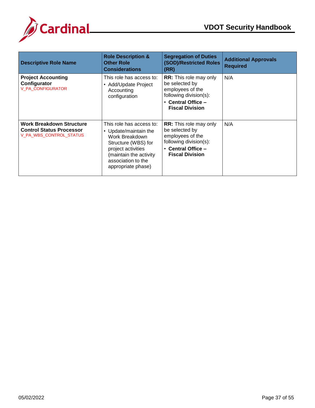

| <b>Descriptive Role Name</b>                                                                  | <b>Role Description &amp;</b><br><b>Other Role</b><br><b>Considerations</b>                                                                                                             | <b>Segregation of Duties</b><br>(SOD)/Restricted Roles<br>(RR)                                                                                      | <b>Additional Approvals</b><br><b>Required</b> |
|-----------------------------------------------------------------------------------------------|-----------------------------------------------------------------------------------------------------------------------------------------------------------------------------------------|-----------------------------------------------------------------------------------------------------------------------------------------------------|------------------------------------------------|
| <b>Project Accounting</b><br>Configurator<br>V_PA_CONFIGURATOR                                | This role has access to:<br>• Add/Update Project<br>Accounting<br>configuration                                                                                                         | <b>RR:</b> This role may only<br>be selected by<br>employees of the<br>following division(s):<br>$\cdot$ Central Office -<br><b>Fiscal Division</b> | N/A                                            |
| <b>Work Breakdown Structure</b><br><b>Control Status Processor</b><br>V_PA_WBS_CONTROL_STATUS | This role has access to:<br>• Update/maintain the<br>Work Breakdown<br>Structure (WBS) for<br>project activities<br>(maintain the activity)<br>association to the<br>appropriate phase) | <b>RR:</b> This role may only<br>be selected by<br>employees of the<br>following division(s):<br><b>Central Office -</b><br><b>Fiscal Division</b>  | N/A                                            |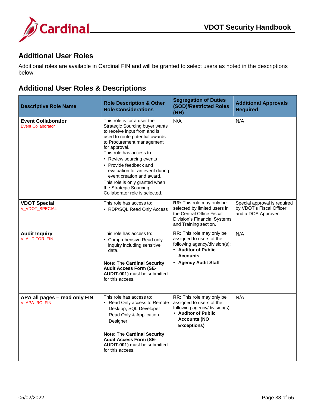

#### <span id="page-38-0"></span>**Additional User Roles**

Additional roles are available in Cardinal FIN and will be granted to select users as noted in the descriptions below.

## <span id="page-38-1"></span>**Additional User Roles & Descriptions**

| <b>Descriptive Role Name</b>                           | <b>Role Description &amp; Other</b><br><b>Role Considerations</b>                                                                                                                                                                                                                                                                                                                                                                   | <b>Segregation of Duties</b><br>(SOD)/Restricted Roles<br>(RR)                                                                                                | <b>Additional Approvals</b><br><b>Required</b>                                  |
|--------------------------------------------------------|-------------------------------------------------------------------------------------------------------------------------------------------------------------------------------------------------------------------------------------------------------------------------------------------------------------------------------------------------------------------------------------------------------------------------------------|---------------------------------------------------------------------------------------------------------------------------------------------------------------|---------------------------------------------------------------------------------|
| <b>Event Collaborator</b><br><b>Event Collaborator</b> | This role is for a user the<br><b>Strategic Sourcing buyer wants</b><br>to receive input from and is<br>used to route potential awards<br>to Procurement management<br>for approval.<br>This role has access to:<br>• Review sourcing events<br>• Provide feedback and<br>evaluation for an event during<br>event creation and award.<br>This role is only granted when<br>the Strategic Sourcing<br>Collaborator role is selected. | N/A                                                                                                                                                           | N/A                                                                             |
| <b>VDOT Special</b><br><b>V VDOT SPECIAL</b>           | This role has access to:<br>• RDP/SQL Read Only Access                                                                                                                                                                                                                                                                                                                                                                              | <b>RR:</b> This role may only be<br>selected by limited users in<br>the Central Office Fiscal<br><b>Division's Financial Systems</b><br>and Training section. | Special approval is required<br>by VDOT's Fiscal Officer<br>and a DOA Approver. |
| <b>Audit Inquiry</b><br>V_AUDITOR_FIN                  | This role has access to:<br>• Comprehensive Read only<br>inquiry including sensitive<br>data.<br><b>Note: The Cardinal Security</b><br><b>Audit Access Form (SE-</b><br>AUDIT-001) must be submitted<br>for this access.                                                                                                                                                                                                            | RR: This role may only be<br>assigned to users of the<br>following agency/division(s):<br>• Auditor of Public<br><b>Accounts</b><br><b>Agency Audit Staff</b> | N/A                                                                             |
| APA all pages - read only FIN<br>V_APA_RO_FIN          | This role has access to:<br>• Read Only access to Remote<br>Desktop, SQL Developer<br>Read Only & Application<br>Designer<br><b>Note: The Cardinal Security</b><br><b>Audit Access Form (SE-</b><br>AUDIT-001) must be submitted<br>for this access.                                                                                                                                                                                | <b>RR:</b> This role may only be<br>assigned to users of the<br>following agency/division(s):<br>• Auditor of Public<br><b>Accounts (NO</b><br>Exceptions)    | N/A                                                                             |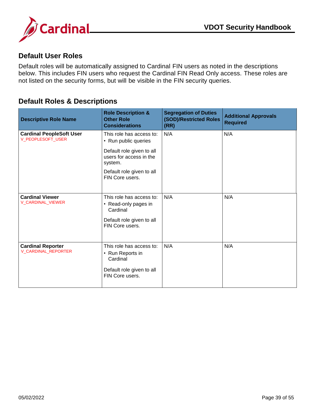

#### <span id="page-39-0"></span>**Default User Roles**

Default roles will be automatically assigned to Cardinal FIN users as noted in the descriptions below. This includes FIN users who request the Cardinal FIN Read Only access. These roles are not listed on the security forms, but will be visible in the FIN security queries.

#### <span id="page-39-1"></span>**Default Roles & Descriptions**

| <b>Descriptive Role Name</b>                         | <b>Role Description &amp;</b><br><b>Other Role</b><br><b>Considerations</b>                                  | <b>Segregation of Duties</b><br>(SOD)/Restricted Roles<br>(RR) | <b>Additional Approvals</b><br><b>Required</b> |
|------------------------------------------------------|--------------------------------------------------------------------------------------------------------------|----------------------------------------------------------------|------------------------------------------------|
| <b>Cardinal PeopleSoft User</b><br>V_PEOPLESOFT_USER | This role has access to:<br>• Run public queries                                                             | N/A                                                            | N/A                                            |
|                                                      | Default role given to all<br>users for access in the<br>system.                                              |                                                                |                                                |
|                                                      | Default role given to all<br>FIN Core users.                                                                 |                                                                |                                                |
| <b>Cardinal Viewer</b><br>V_CARDINAL_VIEWER          | This role has access to:<br>• Read-only pages in<br>Cardinal<br>Default role given to all<br>FIN Core users. | N/A                                                            | N/A                                            |
| <b>Cardinal Reporter</b><br>V_CARDINAL_REPORTER      | This role has access to:<br>• Run Reports in<br>Cardinal<br>Default role given to all<br>FIN Core users.     | N/A                                                            | N/A                                            |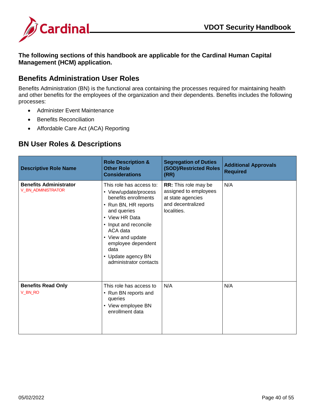

**The following sections of this handbook are applicable for the Cardinal Human Capital Management (HCM) application.**

#### <span id="page-40-0"></span>**Benefits Administration User Roles**

Benefits Administration (BN) is the functional area containing the processes required for maintaining health and other benefits for the employees of the organization and their dependents. Benefits includes the following processes:

- Administer Event Maintenance
- **•** Benefits Reconciliation
- Affordable Care Act (ACA) Reporting

#### <span id="page-40-1"></span>**BN User Roles & Descriptions**

| <b>Descriptive Role Name</b>                               | <b>Role Description &amp;</b><br><b>Other Role</b><br><b>Considerations</b>                                                                                                                                                                                                | <b>Segregation of Duties</b><br>(SOD)/Restricted Roles<br>(RR)                                         | <b>Additional Approvals</b><br><b>Required</b> |
|------------------------------------------------------------|----------------------------------------------------------------------------------------------------------------------------------------------------------------------------------------------------------------------------------------------------------------------------|--------------------------------------------------------------------------------------------------------|------------------------------------------------|
| <b>Benefits Administrator</b><br><b>V_BN_ADMINISTRATOR</b> | This role has access to:<br>• View/update/process<br>benefits enrollments<br>• Run BN, HR reports<br>and queries<br>• View HR Data<br>• Input and reconcile<br>ACA data<br>• View and update<br>employee dependent<br>data<br>• Update agency BN<br>administrator contacts | RR: This role may be<br>assigned to employees<br>at state agencies<br>and decentralized<br>localities. | N/A                                            |
| <b>Benefits Read Only</b><br>V_BN_RO                       | This role has access to<br>• Run BN reports and<br>queries<br>• View employee BN<br>enrollment data                                                                                                                                                                        | N/A                                                                                                    | N/A                                            |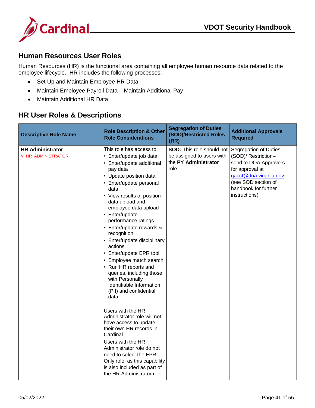



#### <span id="page-41-0"></span>**Human Resources User Roles**

Human Resources (HR) is the functional area containing all employee human resource data related to the employee lifecycle. HR includes the following processes:

- Set Up and Maintain Employee HR Data
- Maintain Employee Payroll Data Maintain Additional Pay
- Maintain Additional HR Data

#### <span id="page-41-1"></span>**HR User Roles & Descriptions**

| <b>Descriptive Role Name</b>                  | <b>Role Description &amp; Other</b><br><b>Role Considerations</b>                                                                                                                                                                                                                                                                                                                                                                                                                                                                                           | <b>Segregation of Duties</b><br>(SOD)/Restricted Roles<br>(RR)                                 | <b>Additional Approvals</b><br><b>Required</b>                                                                                                                                     |
|-----------------------------------------------|-------------------------------------------------------------------------------------------------------------------------------------------------------------------------------------------------------------------------------------------------------------------------------------------------------------------------------------------------------------------------------------------------------------------------------------------------------------------------------------------------------------------------------------------------------------|------------------------------------------------------------------------------------------------|------------------------------------------------------------------------------------------------------------------------------------------------------------------------------------|
| <b>HR Administrator</b><br>V_HR_ADMINISTRATOR | This role has access to:<br>• Enter/update job data<br>• Enter/update additional<br>pay data<br>• Update position data<br>• Enter/update personal<br>data<br>• View results of position<br>data upload and<br>employee data upload<br>• Enter/update<br>performance ratings<br>• Enter/update rewards &<br>recognition<br>• Enter/update disciplinary<br>actions<br>• Enter/update EPR tool<br>• Employee match search<br>• Run HR reports and<br>queries, including those<br>with Personally<br>Identifiable Information<br>(PII) and confidential<br>data | <b>SOD:</b> This role should not<br>be assigned to users with<br>the PY Administrator<br>role. | Segregation of Duties<br>(SOD)/ Restriction-<br>send to DOA Approvers<br>for approval at<br>gacct@doa.virginia.gov<br>(see SOD section of<br>handbook for further<br>instructions) |
|                                               | Users with the HR<br>Administrator role will not<br>have access to update<br>their own HR records in<br>Cardinal.<br>Users with the HR<br>Administrator role do not<br>need to select the EPR<br>Only role, as this capability<br>is also included as part of<br>the HR Administrator role.                                                                                                                                                                                                                                                                 |                                                                                                |                                                                                                                                                                                    |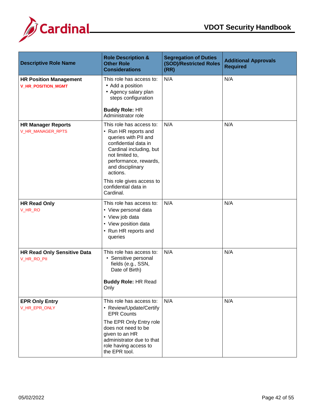



| <b>Descriptive Role Name</b>                               | <b>Role Description &amp;</b><br><b>Other Role</b><br><b>Considerations</b>                                                                                                                                         | <b>Segregation of Duties</b><br>(SOD)/Restricted Roles<br>(RR) | <b>Additional Approvals</b><br><b>Required</b> |
|------------------------------------------------------------|---------------------------------------------------------------------------------------------------------------------------------------------------------------------------------------------------------------------|----------------------------------------------------------------|------------------------------------------------|
| <b>HR Position Management</b><br><b>V_HR_POSITION_MGMT</b> | This role has access to:<br>• Add a position<br>• Agency salary plan<br>steps configuration                                                                                                                         | N/A                                                            | N/A                                            |
|                                                            | <b>Buddy Role: HR</b><br>Administrator role                                                                                                                                                                         |                                                                |                                                |
| <b>HR Manager Reports</b><br>V_HR_MANAGER_RPTS             | This role has access to:<br>• Run HR reports and<br>queries with PII and<br>confidential data in<br>Cardinal including, but<br>not limited to,<br>performance, rewards,<br>and disciplinary<br>actions.             | N/A                                                            | N/A                                            |
|                                                            | This role gives access to<br>confidential data in<br>Cardinal.                                                                                                                                                      |                                                                |                                                |
| <b>HR Read Only</b><br>V_HR_RO                             | This role has access to:<br>• View personal data<br>• View job data<br>• View position data<br>• Run HR reports and<br>queries                                                                                      | N/A                                                            | N/A                                            |
| <b>HR Read Only Sensitive Data</b><br>V_HR_RO_PII          | This role has access to:<br>• Sensitive personal<br>fields (e.g., SSN,<br>Date of Birth)<br><b>Buddy Role: HR Read</b><br>Only                                                                                      | N/A                                                            | N/A                                            |
| <b>EPR Only Entry</b><br>V_HR_EPR_ONLY                     | This role has access to:<br>• Review/Update/Certify<br><b>EPR Counts</b><br>The EPR Only Entry role<br>does not need to be<br>given to an HR<br>administrator due to that<br>role having access to<br>the EPR tool. | N/A                                                            | N/A                                            |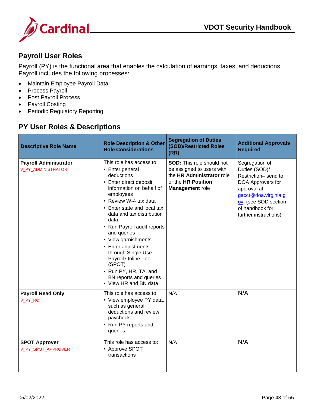

#### <span id="page-43-0"></span>**Payroll User Roles**

Payroll (PY) is the functional area that enables the calculation of earnings, taxes, and deductions. Payroll includes the following processes:

- Maintain Employee Payroll Data
- Process Payroll
- Post Payroll Process
- Payroll Costing
- <span id="page-43-1"></span>• Periodic Regulatory Reporting

## **PY User Roles & Descriptions**

| <b>Descriptive Role Name</b>                       | <b>Role Description &amp; Other</b><br><b>Role Considerations</b>                                                                                                                                                                                                                                                                                                                                                                                        | <b>Segregation of Duties</b><br>(SOD)/Restricted Roles<br>(RR)                                                                      | <b>Additional Approvals</b><br><b>Required</b>                                                                                                                                         |
|----------------------------------------------------|----------------------------------------------------------------------------------------------------------------------------------------------------------------------------------------------------------------------------------------------------------------------------------------------------------------------------------------------------------------------------------------------------------------------------------------------------------|-------------------------------------------------------------------------------------------------------------------------------------|----------------------------------------------------------------------------------------------------------------------------------------------------------------------------------------|
| <b>Payroll Administrator</b><br>V_PY_ADMINISTRATOR | This role has access to:<br>• Enter general<br>deductions<br>• Enter direct deposit<br>information on behalf of<br>employees<br>• Review W-4 tax data<br>• Enter state and local tax<br>data and tax distribution<br>data<br>• Run Payroll audit reports<br>and queries<br>• View garnishments<br>• Enter adjustments<br>through Single Use<br>Payroll Online Tool<br>(SPOT)<br>• Run PY, HR, TA, and<br>BN reports and queries<br>• View HR and BN data | <b>SOD:</b> This role should not<br>be assigned to users with<br>the HR Administrator role<br>or the HR Position<br>Management role | Segregation of<br>Duties (SOD)/<br>Restriction-send to<br>DOA Approvers for<br>approval at<br>gacct@doa.virginia.g<br>ov. (see SOD section<br>of handbook for<br>further instructions) |
| <b>Payroll Read Only</b><br>V_PY_RO                | This role has access to:<br>• View employee PY data,<br>such as general<br>deductions and review<br>paycheck<br>• Run PY reports and<br>queries                                                                                                                                                                                                                                                                                                          | N/A                                                                                                                                 | N/A                                                                                                                                                                                    |
| <b>SPOT Approver</b><br>V_PY_SPOT_APPROVER         | This role has access to:<br>• Approve SPOT<br>transactions                                                                                                                                                                                                                                                                                                                                                                                               | N/A                                                                                                                                 | N/A                                                                                                                                                                                    |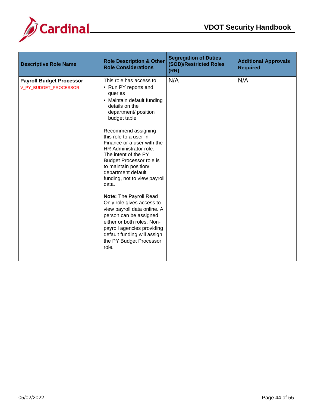



| <b>Descriptive Role Name</b>                             | <b>Role Description &amp; Other</b><br><b>Role Considerations</b>                                                                                                                                                                                                                                                                                                                                                                                                                                                                                                                                                                                              | <b>Segregation of Duties</b><br>(SOD)/Restricted Roles<br>(RR) | <b>Additional Approvals</b><br><b>Required</b> |
|----------------------------------------------------------|----------------------------------------------------------------------------------------------------------------------------------------------------------------------------------------------------------------------------------------------------------------------------------------------------------------------------------------------------------------------------------------------------------------------------------------------------------------------------------------------------------------------------------------------------------------------------------------------------------------------------------------------------------------|----------------------------------------------------------------|------------------------------------------------|
| <b>Payroll Budget Processor</b><br>V_PY_BUDGET_PROCESSOR | This role has access to:<br>• Run PY reports and<br>queries<br>• Maintain default funding<br>details on the<br>department/ position<br>budget table<br>Recommend assigning<br>this role to a user in<br>Finance or a user with the<br>HR Administrator role.<br>The intent of the PY<br><b>Budget Processor role is</b><br>to maintain position/<br>department default<br>funding, not to view payroll<br>data.<br>Note: The Payroll Read<br>Only role gives access to<br>view payroll data online. A<br>person can be assigned<br>either or both roles. Non-<br>payroll agencies providing<br>default funding will assign<br>the PY Budget Processor<br>role. | N/A                                                            | N/A                                            |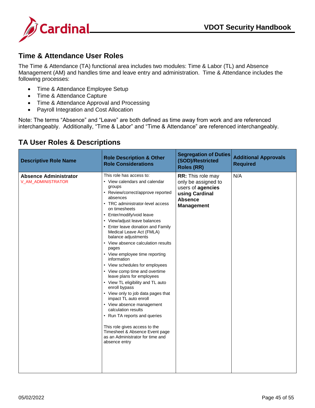

#### <span id="page-45-0"></span>**Time & Attendance User Roles**

The Time & Attendance (TA) functional area includes two modules: Time & Labor (TL) and Absence Management (AM) and handles time and leave entry and administration. Time & Attendance includes the following processes:

- Time & Attendance Employee Setup
- Time & Attendance Capture
- Time & Attendance Approval and Processing
- Payroll Integration and Cost Allocation

Note: The terms "Absence" and "Leave" are both defined as time away from work and are referenced interchangeably. Additionally, "Time & Labor" and "Time & Attendance" are referenced interchangeably.

| <b>Descriptive Role Name</b>                       | <b>Role Description &amp; Other</b><br><b>Role Considerations</b>                                                                                                                                                                                                                                                                                                                                                                                                                                                                                                                                                                                                                                                                                                                                                                                               | <b>Segregation of Duties</b><br>(SOD)/Restricted<br><b>Roles (RR)</b>                                                         | <b>Additional Approvals</b><br><b>Required</b> |
|----------------------------------------------------|-----------------------------------------------------------------------------------------------------------------------------------------------------------------------------------------------------------------------------------------------------------------------------------------------------------------------------------------------------------------------------------------------------------------------------------------------------------------------------------------------------------------------------------------------------------------------------------------------------------------------------------------------------------------------------------------------------------------------------------------------------------------------------------------------------------------------------------------------------------------|-------------------------------------------------------------------------------------------------------------------------------|------------------------------------------------|
| <b>Absence Administrator</b><br>V_AM_ADMINISTRATOR | This role has access to:<br>• View calendars and calendar<br>groups<br>• Review/correct/approve reported<br>absences<br>• TRC administrator-level access<br>on timesheets<br>• Enter/modify/void leave<br>• View/adjust leave balances<br>• Enter leave donation and Family<br>Medical Leave Act (FMLA)<br>balance adjustments<br>• View absence calculation results<br>pages<br>• View employee time reporting<br>information<br>• View schedules for employees<br>• View comp time and overtime<br>leave plans for employees<br>• View TL eligibility and TL auto<br>enroll bypass<br>• View only to job data pages that<br>impact TL auto enroll<br>• View absence management<br>calculation results<br>• Run TA reports and queries<br>This role gives access to the<br>Timesheet & Absence Event page<br>as an Administrator for time and<br>absence entry | <b>RR:</b> This role may<br>only be assigned to<br>users of agencies<br>using Cardinal<br><b>Absence</b><br><b>Management</b> | N/A                                            |

## <span id="page-45-1"></span>**TA User Roles & Descriptions**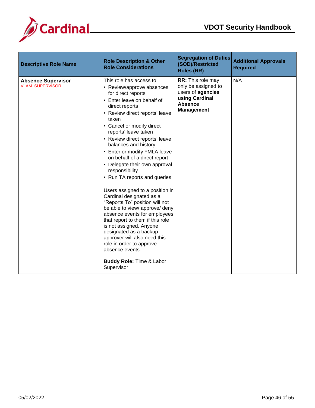



| <b>Role Considerations</b>                                                                                                                                                                                                                                                                                                                                                                                                                                                                                                                                                                                                                                                                                                                                                                                                                                                               | <b>Roles (RR)</b>                                                                                                             | <b>Required</b> |
|------------------------------------------------------------------------------------------------------------------------------------------------------------------------------------------------------------------------------------------------------------------------------------------------------------------------------------------------------------------------------------------------------------------------------------------------------------------------------------------------------------------------------------------------------------------------------------------------------------------------------------------------------------------------------------------------------------------------------------------------------------------------------------------------------------------------------------------------------------------------------------------|-------------------------------------------------------------------------------------------------------------------------------|-----------------|
| This role has access to:<br><b>Absence Supervisor</b><br>V_AM_SUPERVISOR<br>• Review/approve absences<br>for direct reports<br>• Enter leave on behalf of<br>direct reports<br>• Review direct reports' leave<br>taken<br>• Cancel or modify direct<br>reports' leave taken<br>• Review direct reports' leave<br>balances and history<br>• Enter or modify FMLA leave<br>on behalf of a direct report<br>• Delegate their own approval<br>responsibility<br>• Run TA reports and queries<br>Users assigned to a position in<br>Cardinal designated as a<br>"Reports To" position will not<br>be able to view/ approve/ deny<br>absence events for employees<br>that report to them if this role<br>is not assigned. Anyone<br>designated as a backup<br>approver will also need this<br>role in order to approve<br>absence events.<br><b>Buddy Role: Time &amp; Labor</b><br>Supervisor | <b>RR:</b> This role may<br>only be assigned to<br>users of agencies<br>using Cardinal<br><b>Absence</b><br><b>Management</b> | N/A             |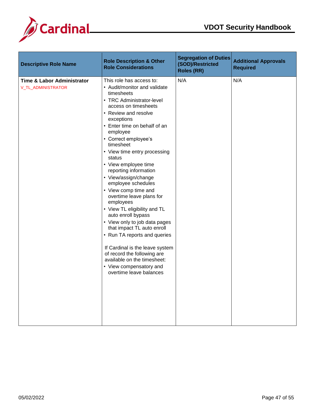



| <b>Descriptive Role Name</b>                                       | <b>Role Description &amp; Other</b><br><b>Role Considerations</b>                                                                                                                                                                                                                                                                                                                                                                                                                                                                                                                                                                                                                                                                                                        | <b>Segregation of Duties</b><br>(SOD)/Restricted<br><b>Roles (RR)</b> | <b>Additional Approvals</b><br><b>Required</b> |
|--------------------------------------------------------------------|--------------------------------------------------------------------------------------------------------------------------------------------------------------------------------------------------------------------------------------------------------------------------------------------------------------------------------------------------------------------------------------------------------------------------------------------------------------------------------------------------------------------------------------------------------------------------------------------------------------------------------------------------------------------------------------------------------------------------------------------------------------------------|-----------------------------------------------------------------------|------------------------------------------------|
| <b>Time &amp; Labor Administrator</b><br><b>V_TL_ADMINISTRATOR</b> | This role has access to:<br>• Audit/monitor and validate<br>timesheets<br>• TRC Administrator-level<br>access on timesheets<br>• Review and resolve<br>exceptions<br>• Enter time on behalf of an<br>employee<br>• Correct employee's<br>timesheet<br>• View time entry processing<br>status<br>• View employee time<br>reporting information<br>• View/assign/change<br>employee schedules<br>• View comp time and<br>overtime leave plans for<br>employees<br>• View TL eligibility and TL<br>auto enroll bypass<br>• View only to job data pages<br>that impact TL auto enroll<br>• Run TA reports and queries<br>If Cardinal is the leave system<br>of record the following are<br>available on the timesheet:<br>• View compensatory and<br>overtime leave balances | N/A                                                                   | N/A                                            |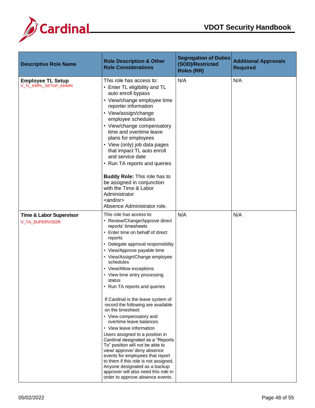



| <b>Descriptive Role Name</b>                          | <b>Role Description &amp; Other</b><br><b>Role Considerations</b>                                                                                                                                                                                                                                                                                                                                                                                                                                                                                                                                                                                                                                                                                                                                                                                                                | <b>Segregation of Duties</b><br>(SOD)/Restricted<br><b>Roles (RR)</b> | <b>Additional Approvals</b><br><b>Required</b> |
|-------------------------------------------------------|----------------------------------------------------------------------------------------------------------------------------------------------------------------------------------------------------------------------------------------------------------------------------------------------------------------------------------------------------------------------------------------------------------------------------------------------------------------------------------------------------------------------------------------------------------------------------------------------------------------------------------------------------------------------------------------------------------------------------------------------------------------------------------------------------------------------------------------------------------------------------------|-----------------------------------------------------------------------|------------------------------------------------|
| <b>Employee TL Setup</b><br>V_TL_EMPL_SETUP_ADMIN     | This role has access to:<br>• Enter TL eligibility and TL<br>auto enroll bypass<br>• View/change employee time<br>reporter information<br>• View/assign/change<br>employee schedules<br>• View/change compensatory<br>time and overtime leave<br>plans for employees<br>• View (only) job data pages<br>that impact TL auto enroll<br>and service date<br>• Run TA reports and queries<br><b>Buddy Role: This role has to</b><br>be assigned in conjunction<br>with the Time & Labor<br>Administrator<br>$\alpha$ and/or $\alpha$<br>Absence Administrator role.                                                                                                                                                                                                                                                                                                                 | N/A                                                                   | N/A                                            |
| <b>Time &amp; Labor Supervisor</b><br>V_TA_SUPERVISOR | This role has access to:<br>• Review/Change/Approve direct<br>reports' timesheets<br>• Enter time on behalf of direct<br>reports<br>• Delegate approval responsibility<br>• View/Approve payable time<br>• View/Assign/Change employee<br>schedules<br>• View/Allow exceptions<br>• View time entry processing<br>status<br>• Run TA reports and queries<br>If Cardinal is the leave system of<br>record the following are available<br>on the timesheet:<br>• View compensatory and<br>overtime leave balances<br>• View leave information<br>Users assigned to a position in<br>Cardinal designated as a "Reports<br>To" position will not be able to<br>view/ approve/ deny absence<br>events for employees that report<br>to them if this role is not assigned.<br>Anyone designated as a backup<br>approver will also need this role in<br>order to approve absence events. | N/A                                                                   | N/A                                            |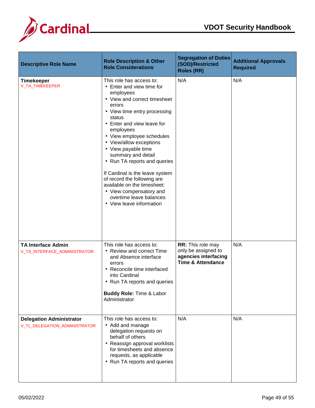



| <b>Descriptive Role Name</b>                                     | <b>Role Description &amp; Other</b><br><b>Role Considerations</b>                                                                                                                                                                                                                                                                                                                                                                                                                                                         | <b>Segregation of Duties</b><br>(SOD)/Restricted<br><b>Roles (RR)</b>                            | <b>Additional Approvals</b><br><b>Required</b> |
|------------------------------------------------------------------|---------------------------------------------------------------------------------------------------------------------------------------------------------------------------------------------------------------------------------------------------------------------------------------------------------------------------------------------------------------------------------------------------------------------------------------------------------------------------------------------------------------------------|--------------------------------------------------------------------------------------------------|------------------------------------------------|
| <b>Timekeeper</b><br>V_TA_TIMEKEEPER                             | This role has access to:<br>• Enter and view time for<br>employees<br>• View and correct timesheet<br>errors<br>• View time entry processing<br>status<br>• Enter and view leave for<br>employees<br>• View employee schedules<br>• View/allow exceptions<br>• View payable time<br>summary and detail<br>• Run TA reports and queries<br>If Cardinal is the leave system<br>of record the following are<br>available on the timesheet:<br>• View compensatory and<br>overtime leave balances<br>• View leave information | N/A                                                                                              | N/A                                            |
| <b>TA Interface Admin</b><br>V_TA_INTERFACE_ADMINISTRATOR        | This role has access to:<br>• Review and correct Time<br>and Absence interface<br>errors<br>• Reconcile time interfaced<br>into Cardinal<br>• Run TA reports and queries<br><b>Buddy Role: Time &amp; Labor</b><br>Administrator                                                                                                                                                                                                                                                                                          | RR: This role may<br>only be assigned to<br>agencies interfacing<br><b>Time &amp; Attendance</b> | N/A                                            |
| <b>Delegation Administrator</b><br>V_TL_DELEGATION_ADMINISTRATOR | This role has access to:<br>• Add and manage<br>delegation requests on<br>behalf of others<br>• Reassign approval worklists<br>for timesheets and absence<br>requests, as applicable<br>• Run TA reports and queries                                                                                                                                                                                                                                                                                                      | N/A                                                                                              | N/A                                            |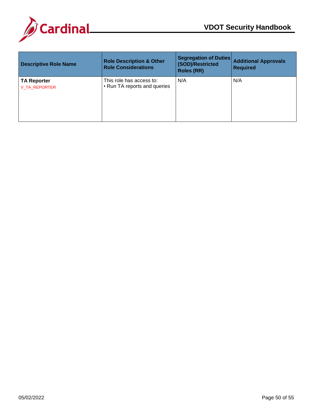

| <b>Descriptive Role Name</b>               | <b>Role Description &amp; Other</b><br><b>Role Considerations</b> | <b>Segregation of Duties</b><br>(SOD)/Restricted<br><b>Roles (RR)</b> | <b>Additional Approvals</b><br><b>Required</b> |
|--------------------------------------------|-------------------------------------------------------------------|-----------------------------------------------------------------------|------------------------------------------------|
| <b>TA Reporter</b><br><b>V TA REPORTER</b> | This role has access to:<br>• Run TA reports and queries          | N/A                                                                   | N/A                                            |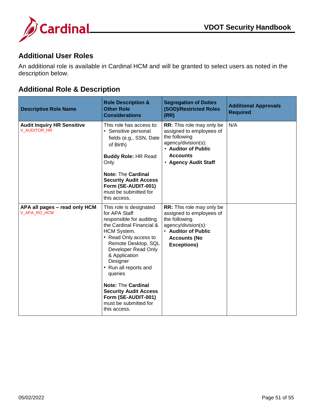

#### <span id="page-51-0"></span>**Additional User Roles**

An additional role is available in Cardinal HCM and will be granted to select users as noted in the description below.

## <span id="page-51-1"></span>**Additional Role & Description**

| <b>Descriptive Role Name</b>                      | <b>Role Description &amp;</b><br><b>Other Role</b><br><b>Considerations</b>                                                                                                                                                                                                                                                                                                          | <b>Segregation of Duties</b><br><b>(SOD)/Restricted Roles</b><br>(RR)                                                                                                  | <b>Additional Approvals</b><br><b>Required</b> |
|---------------------------------------------------|--------------------------------------------------------------------------------------------------------------------------------------------------------------------------------------------------------------------------------------------------------------------------------------------------------------------------------------------------------------------------------------|------------------------------------------------------------------------------------------------------------------------------------------------------------------------|------------------------------------------------|
| <b>Audit Inquiry HR Sensitive</b><br>V_AUDITOR_HR | This role has access to:<br>• Sensitive personal<br>fields (e.g., SSN, Date<br>of Birth)<br><b>Buddy Role: HR Read</b><br>Only<br><b>Note: The Cardinal</b><br><b>Security Audit Access</b><br>Form (SE-AUDIT-001)<br>must be submitted for<br>this access.                                                                                                                          | <b>RR:</b> This role may only be<br>assigned to employees of<br>the following<br>agency/division(s):<br>• Auditor of Public<br><b>Accounts</b><br>• Agency Audit Staff | N/A                                            |
| APA all pages - read only HCM<br>V_APA_RO_HCM     | This role is designated<br>for APA Staff<br>responsible for auditing<br>the Cardinal Financial &<br>HCM System.<br>• Read Only access to<br>Remote Desktop, SQL<br>Developer Read Only<br>& Application<br>Designer<br>• Run all reports and<br>queries<br><b>Note: The Cardinal</b><br><b>Security Audit Access</b><br>Form (SE-AUDIT-001)<br>must be submitted for<br>this access. | RR: This role may only be<br>assigned to employees of<br>the following<br>agency/division(s):<br>• Auditor of Public<br><b>Accounts (No</b><br><b>Exceptions)</b>      |                                                |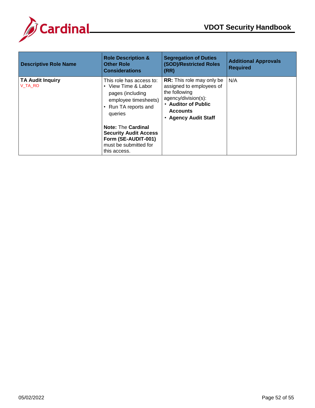

| <b>Descriptive Role Name</b>       | <b>Role Description &amp;</b><br><b>Other Role</b><br><b>Considerations</b>                                                  | <b>Segregation of Duties</b><br>(SOD)/Restricted Roles<br>(RR)                                                                                                         | <b>Additional Approvals</b><br><b>Required</b> |
|------------------------------------|------------------------------------------------------------------------------------------------------------------------------|------------------------------------------------------------------------------------------------------------------------------------------------------------------------|------------------------------------------------|
| <b>TA Audit Inquiry</b><br>V TA RO | This role has access to:<br>• View Time & Labor<br>pages (including<br>employee timesheets)<br>Run TA reports and<br>queries | <b>RR:</b> This role may only be<br>assigned to employees of<br>the following<br>agency/division(s):<br>• Auditor of Public<br><b>Accounts</b><br>• Agency Audit Staff | N/A                                            |
|                                    | <b>Note: The Cardinal</b><br><b>Security Audit Access</b><br>Form (SE-AUDIT-001)<br>must be submitted for<br>this access.    |                                                                                                                                                                        |                                                |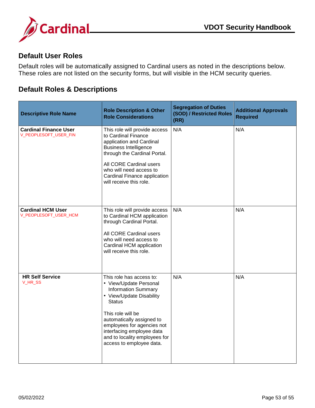

#### <span id="page-53-0"></span>**Default User Roles**

Default roles will be automatically assigned to Cardinal users as noted in the descriptions below. These roles are not listed on the security forms, but will visible in the HCM security queries.

## <span id="page-53-1"></span>**Default Roles & Descriptions**

| <b>Descriptive Role Name</b>                          | <b>Role Description &amp; Other</b><br><b>Role Considerations</b>                                                                                                                                                                                                                                       | <b>Segregation of Duties</b><br>(SOD) / Restricted Roles<br>(RR) | <b>Additional Approvals</b><br><b>Required</b> |
|-------------------------------------------------------|---------------------------------------------------------------------------------------------------------------------------------------------------------------------------------------------------------------------------------------------------------------------------------------------------------|------------------------------------------------------------------|------------------------------------------------|
| <b>Cardinal Finance User</b><br>V_PEOPLESOFT_USER_FIN | This role will provide access<br>to Cardinal Finance<br>application and Cardinal<br><b>Business Intelligence</b><br>through the Cardinal Portal.<br>All CORE Cardinal users<br>who will need access to                                                                                                  | N/A                                                              | N/A                                            |
|                                                       | Cardinal Finance application<br>will receive this role.                                                                                                                                                                                                                                                 |                                                                  |                                                |
| <b>Cardinal HCM User</b><br>V_PEOPLESOFT_USER_HCM     | This role will provide access<br>to Cardinal HCM application<br>through Cardinal Portal.<br>All CORE Cardinal users<br>who will need access to<br>Cardinal HCM application<br>will receive this role.                                                                                                   | N/A                                                              | N/A                                            |
| <b>HR Self Service</b><br>V_HR_SS                     | This role has access to:<br>• View/Update Personal<br><b>Information Summary</b><br>• View/Update Disability<br><b>Status</b><br>This role will be<br>automatically assigned to<br>employees for agencies not<br>interfacing employee data<br>and to locality employees for<br>access to employee data. | N/A                                                              | N/A                                            |
|                                                       |                                                                                                                                                                                                                                                                                                         |                                                                  |                                                |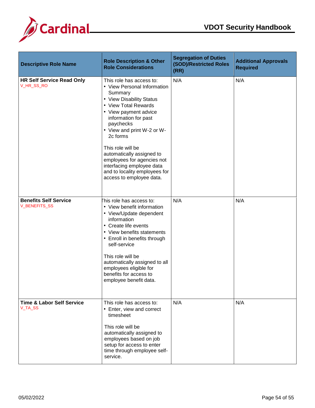



| <b>Descriptive Role Name</b>                    | <b>Role Description &amp; Other</b><br><b>Role Considerations</b>                                                                                                                                                                                                                                                                                                                                        | <b>Segregation of Duties</b><br>(SOD)/Restricted Roles<br>(RR) | <b>Additional Approvals</b><br><b>Required</b> |
|-------------------------------------------------|----------------------------------------------------------------------------------------------------------------------------------------------------------------------------------------------------------------------------------------------------------------------------------------------------------------------------------------------------------------------------------------------------------|----------------------------------------------------------------|------------------------------------------------|
| <b>HR Self Service Read Only</b><br>V_HR_SS_RO  | This role has access to:<br>• View Personal Information<br>Summary<br>• View Disability Status<br>• View Total Rewards<br>• View payment advice<br>information for past<br>paychecks<br>• View and print W-2 or W-<br>2c forms<br>This role will be<br>automatically assigned to<br>employees for agencies not<br>interfacing employee data<br>and to locality employees for<br>access to employee data. | N/A                                                            | N/A                                            |
| <b>Benefits Self Service</b><br>V_BENEFITS_SS   | his role has access to:<br>• View benefit information<br>• View/Update dependent<br>information<br>• Create life events<br>• View benefits statements<br>• Enroll in benefits through<br>self-service<br>This role will be<br>automatically assigned to all<br>employees eligible for<br>benefits for access to<br>employee benefit data.                                                                | N/A                                                            | N/A                                            |
| <b>Time &amp; Labor Self Service</b><br>V_TA_SS | This role has access to:<br>• Enter, view and correct<br>timesheet<br>This role will be<br>automatically assigned to<br>employees based on job<br>setup for access to enter<br>time through employee self-<br>service.                                                                                                                                                                                   | N/A                                                            | N/A                                            |